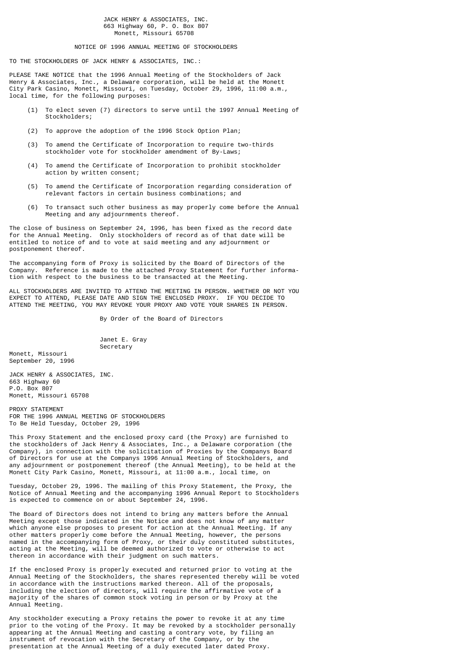#### JACK HENRY & ASSOCIATES, INC. 663 Highway 60, P. O. Box 807 Monett, Missouri 65708

# NOTICE OF 1996 ANNUAL MEETING OF STOCKHOLDERS

TO THE STOCKHOLDERS OF JACK HENRY & ASSOCIATES, INC.:

PLEASE TAKE NOTICE that the 1996 Annual Meeting of the Stockholders of Jack Henry & Associates, Inc., a Delaware corporation, will be held at the Monett City Park Casino, Monett, Missouri, on Tuesday, October 29, 1996, 11:00 a.m., local time, for the following purposes:

- (1) To elect seven (7) directors to serve until the 1997 Annual Meeting of Stockholders;
- (2) To approve the adoption of the 1996 Stock Option Plan;
- (3) To amend the Certificate of Incorporation to require two-thirds stockholder vote for stockholder amendment of By-Laws;
- (4) To amend the Certificate of Incorporation to prohibit stockholder action by written consent;
- (5) To amend the Certificate of Incorporation regarding consideration of relevant factors in certain business combinations; and
- (6) To transact such other business as may properly come before the Annual Meeting and any adjournments thereof.

The close of business on September 24, 1996, has been fixed as the record date for the Annual Meeting. Only stockholders of record as of that date will be entitled to notice of and to vote at said meeting and any adjournment or postponement thereof.

The accompanying form of Proxy is solicited by the Board of Directors of the Company. Reference is made to the attached Proxy Statement for further information with respect to the business to be transacted at the Meeting.

ALL STOCKHOLDERS ARE INVITED TO ATTEND THE MEETING IN PERSON. WHETHER OR NOT YOU EXPECT TO ATTEND, PLEASE DATE AND SIGN THE ENCLOSED PROXY. IF YOU DECIDE TO ATTEND THE MEETING, YOU MAY REVOKE YOUR PROXY AND VOTE YOUR SHARES IN PERSON.

By Order of the Board of Directors

 Janet E. Gray Secretary

Monett, Missouri September 20, 1996

JACK HENRY & ASSOCIATES, INC. 663 Highway 60 P.O. Box 807 Monett, Missouri 65708

PROXY STATEMENT FOR THE 1996 ANNUAL MEETING OF STOCKHOLDERS To Be Held Tuesday, October 29, 1996

This Proxy Statement and the enclosed proxy card (the Proxy) are furnished to the stockholders of Jack Henry & Associates, Inc., a Delaware corporation (the Company), in connection with the solicitation of Proxies by the Companys Board of Directors for use at the Companys 1996 Annual Meeting of Stockholders, and any adjournment or postponement thereof (the Annual Meeting), to be held at the Monett City Park Casino, Monett, Missouri, at 11:00 a.m., local time, on

Tuesday, October 29, 1996. The mailing of this Proxy Statement, the Proxy, the Notice of Annual Meeting and the accompanying 1996 Annual Report to Stockholders is expected to commence on or about September 24, 1996.

The Board of Directors does not intend to bring any matters before the Annual Meeting except those indicated in the Notice and does not know of any matter which anyone else proposes to present for action at the Annual Meeting. If any other matters properly come before the Annual Meeting, however, the persons named in the accompanying form of Proxy, or their duly constituted substitutes, acting at the Meeting, will be deemed authorized to vote or otherwise to act thereon in accordance with their judgment on such matters.

If the enclosed Proxy is properly executed and returned prior to voting at the Annual Meeting of the Stockholders, the shares represented thereby will be voted in accordance with the instructions marked thereon. All of the proposals, including the election of directors, will require the affirmative vote of a majority of the shares of common stock voting in person or by Proxy at the Annual Meeting.

Any stockholder executing a Proxy retains the power to revoke it at any time prior to the voting of the Proxy. It may be revoked by a stockholder personally appearing at the Annual Meeting and casting a contrary vote, by filing an instrument of revocation with the Secretary of the Company, or by the presentation at the Annual Meeting of a duly executed later dated Proxy.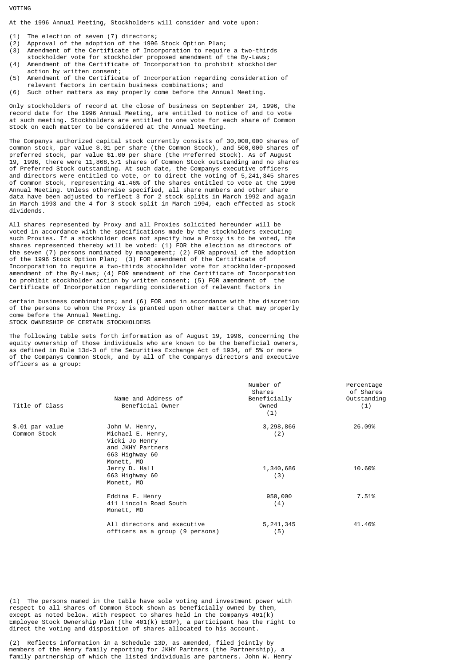VOTING

At the 1996 Annual Meeting, Stockholders will consider and vote upon:

- (1) The election of seven (7) directors;
- (2) Approval of the adoption of the 1996 Stock Option Plan;
- Amendment of the Certificate of Incorporation to require a two-thirds
- stockholder vote for stockholder proposed amendment of the By-Laws; (4) Amendment of the Certificate of Incorporation to prohibit stockholder
- action by written consent; (5) Amendment of the Certificate of Incorporation regarding consideration of relevant factors in certain business combinations; and
- (6) Such other matters as may properly come before the Annual Meeting.

Only stockholders of record at the close of business on September 24, 1996, the record date for the 1996 Annual Meeting, are entitled to notice of and to vote at such meeting. Stockholders are entitled to one vote for each share of Common Stock on each matter to be considered at the Annual Meeting.

The Companys authorized capital stock currently consists of 30,000,000 shares of common stock, par value \$.01 per share (the Common Stock), and 500,000 shares of preferred stock, par value \$1.00 per share (the Preferred Stock). As of August 19, 1996, there were 11,868,571 shares of Common Stock outstanding and no shares of Preferred Stock outstanding. At such date, the Companys executive officers and directors were entitled to vote, or to direct the voting of 5,241,345 shares of Common Stock, representing 41.46% of the shares entitled to vote at the 1996 Annual Meeting. Unless otherwise specified, all share numbers and other share data have been adjusted to reflect 3 for 2 stock splits in March 1992 and again in March 1993 and the 4 for 3 stock split in March 1994, each effected as stock dividends.

All shares represented by Proxy and all Proxies solicited hereunder will be voted in accordance with the specifications made by the stockholders executing such Proxies. If a stockholder does not specify how a Proxy is to be voted, the shares represented thereby will be voted: (1) FOR the election as directors of the seven (7) persons nominated by management; (2) FOR approval of the adoption of the 1996 Stock Option Plan; (3) FOR amendment of the Certificate of Incorporation to require a two-thirds stockholder vote for stockholder-proposed amendment of the By-Laws; (4) FOR amendment of the Certificate of Incorporation to prohibit stockholder action by written consent; (5) FOR amendment of the Certificate of Incorporation regarding consideration of relevant factors in

certain business combinations; and (6) FOR and in accordance with the discretion of the persons to whom the Proxy is granted upon other matters that may properly come before the Annual Meeting. STOCK OWNERSHIP OF CERTAIN STOCKHOLDERS

The following table sets forth information as of August 19, 1996, concerning the equity ownership of those individuals who are known to be the beneficial owners, as defined in Rule 13d-3 of the Securities Exchange Act of 1934, of 5% or more of the Companys Common Stock, and by all of the Companys directors and executive officers as a group:

| Title of Class                  | Name and Address of<br>Beneficial Owner                                                                    | Number of<br>Shares<br>Beneficially<br>Owned<br>(1) | Percentage<br>of Shares<br>Outstanding<br>(1) |
|---------------------------------|------------------------------------------------------------------------------------------------------------|-----------------------------------------------------|-----------------------------------------------|
| \$.01 par value<br>Common Stock | John W. Henry,<br>Michael E. Henry,<br>Vicki Jo Henry<br>and JKHY Partners<br>663 Highway 60<br>Monett, MO | 3,298,866<br>(2)                                    | 26.09%                                        |
|                                 | Jerry D. Hall<br>663 Highway 60<br>Monett, MO                                                              | 1,340,686<br>(3)                                    | 10.60%                                        |
|                                 | Eddina F. Henry<br>411 Lincoln Road South<br>Monett, MO                                                    | 950,000<br>(4)                                      | 7.51%                                         |
|                                 | All directors and executive<br>officers as a group (9 persons)                                             | 5, 241, 345<br>(5)                                  | 41.46%                                        |

(1) The persons named in the table have sole voting and investment power with respect to all shares of Common Stock shown as beneficially owned by them, except as noted below. With respect to shares held in the Companys 401(k) Employee Stock Ownership Plan (the  $401(k)$  ESOP), a participant has the right to direct the voting and disposition of shares allocated to his account.

(2) Reflects information in a Schedule 13D, as amended, filed jointly by members of the Henry family reporting for JKHY Partners (the Partnership), a family partnership of which the listed individuals are partners. John W. Henry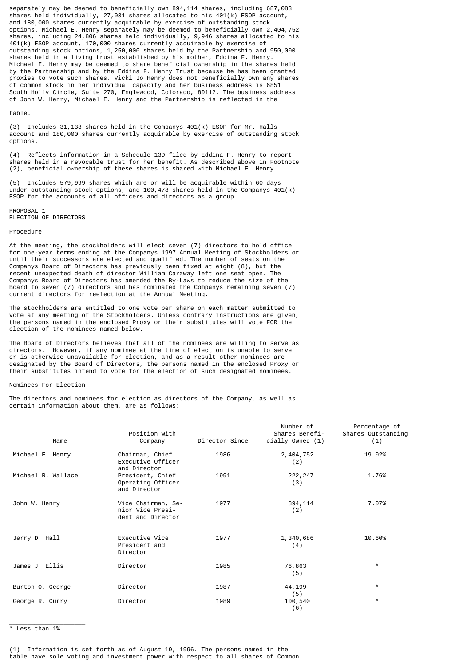separately may be deemed to beneficially own 894,114 shares, including 687,083 shares held individually, 27,031 shares allocated to his 401(k) ESOP account, and 180,000 shares currently acquirable by exercise of outstanding stock options. Michael E. Henry separately may be deemed to beneficially own 2,404,752 shares, including 24,806 shares held individually, 9,946 shares allocated to his 401(k) ESOP account, 170,000 shares currently acquirable by exercise of outstanding stock options, 1,250,000 shares held by the Partnership and 950,000 shares held in a living trust established by his mother, Eddina F. Henry. Michael E. Henry may be deemed to share beneficial ownership in the shares held by the Partnership and by the Eddina F. Henry Trust because he has been granted proxies to vote such shares. Vicki Jo Henry does not beneficially own any shares of common stock in her individual capacity and her business address is 6851 South Holly Circle, Suite 270, Englewood, Colorado, 80112. The business address of John W. Henry, Michael E. Henry and the Partnership is reflected in the

# table.

(3) Includes 31,133 shares held in the Companys 401(k) ESOP for Mr. Halls account and 180,000 shares currently acquirable by exercise of outstanding stock options.

(4) Reflects information in a Schedule 13D filed by Eddina F. Henry to report shares held in a revocable trust for her benefit. As described above in Footnote (2), beneficial ownership of these shares is shared with Michael E. Henry.

(5) Includes 579,999 shares which are or will be acquirable within 60 days under outstanding stock options, and 100,478 shares held in the Companys 401(k) ESOP for the accounts of all officers and directors as a group.

PROPOSAL 1 ELECTION OF DIRECTORS

## Procedure

At the meeting, the stockholders will elect seven (7) directors to hold office for one-year terms ending at the Companys 1997 Annual Meeting of Stockholders or until their successors are elected and qualified. The number of seats on the Companys Board of Directors has previously been fixed at eight (8), but the recent unexpected death of director William Caraway left one seat open. The Companys Board of Directors has amended the By-Laws to reduce the size of the Board to seven (7) directors and has nominated the Companys remaining seven (7) current directors for reelection at the Annual Meeting.

The stockholders are entitled to one vote per share on each matter submitted to vote at any meeting of the Stockholders. Unless contrary instructions are given, the persons named in the enclosed Proxy or their substitutes will vote FOR the election of the nominees named below.

The Board of Directors believes that all of the nominees are willing to serve as directors. However, if any nominee at the time of election is unable to serve or is otherwise unavailable for election, and as a result other nominees are designated by the Board of Directors, the persons named in the enclosed Proxy or their substitutes intend to vote for the election of such designated nominees.

# Nominees For Election

The directors and nominees for election as directors of the Company, as well as certain information about them, are as follows:

| Name               | Position with<br>Company                                    | Director Since | Number of<br>Shares Benefi-<br>cially Owned $(1)$ | Percentage of<br>Shares Outstanding<br>(1) |
|--------------------|-------------------------------------------------------------|----------------|---------------------------------------------------|--------------------------------------------|
| Michael E. Henry   | Chairman, Chief<br>Executive Officer<br>and Director        | 1986           | 2, 404, 752<br>(2)                                | 19.02%                                     |
| Michael R. Wallace | President, Chief<br>Operating Officer<br>and Director       | 1991           | 222, 247<br>(3)                                   | 1.76%                                      |
| John W. Henry      | Vice Chairman, Se-<br>nior Vice Presi-<br>dent and Director | 1977           | 894,114<br>(2)                                    | 7.07%                                      |
| Jerry D. Hall      | Executive Vice<br>President and<br>Director                 | 1977           | 1,340,686<br>(4)                                  | 10.60%                                     |
| James J. Ellis     | Director                                                    | 1985           | 76,863<br>(5)                                     | $^\star$                                   |
| Burton O. George   | Director                                                    | 1987           | 44,199<br>(5)                                     | $^\star$                                   |
| George R. Curry    | Director                                                    | 1989           | 100,540<br>(6)                                    | $^\star$                                   |

\* Less than 1%

\_\_\_\_\_\_\_\_\_\_\_\_\_\_\_\_\_\_\_\_\_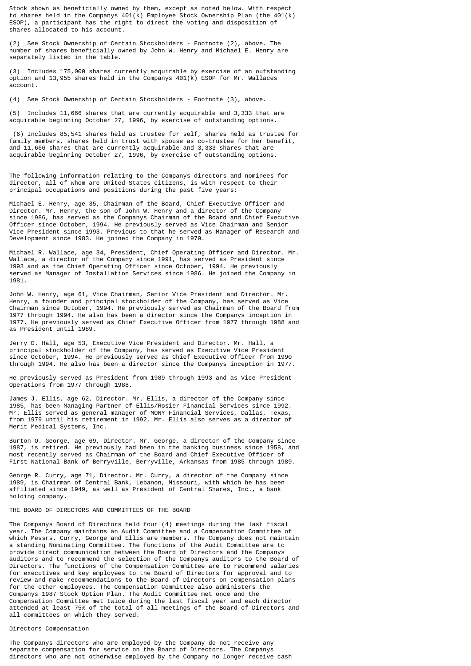Stock shown as beneficially owned by them, except as noted below. With respect to shares held in the Companys  $401(k)$  Employee Stock Ownership Plan (the  $401(k)$ ESOP), a participant has the right to direct the voting and disposition of shares allocated to his account.

(2) See Stock Ownership of Certain Stockholders - Footnote (2), above. The number of shares beneficially owned by John W. Henry and Michael E. Henry are separately listed in the table.

(3) Includes 175,000 shares currently acquirable by exercise of an outstanding option and 13,955 shares held in the Companys 401(k) ESOP for Mr. Wallaces account.

(4) See Stock Ownership of Certain Stockholders - Footnote (3), above.

(5) Includes 11,666 shares that are currently acquirable and 3,333 that are acquirable beginning October 27, 1996, by exercise of outstanding options.

 (6) Includes 85,541 shares held as trustee for self, shares held as trustee for family members, shares held in trust with spouse as co-trustee for her benefit, and 11,666 shares that are currently acquirable and 3,333 shares that are acquirable beginning October 27, 1996, by exercise of outstanding options.

The following information relating to the Companys directors and nominees for director, all of whom are United States citizens, is with respect to their principal occupations and positions during the past five years:

Michael E. Henry, age 35, Chairman of the Board, Chief Executive Officer and Director. Mr. Henry, the son of John W. Henry and a director of the Company since 1986, has served as the Companys Chairman of the Board and Chief Executive Officer since October, 1994. He previously served as Vice Chairman and Senior Vice President since 1993. Previous to that he served as Manager of Research and Development since 1983. He joined the Company in 1979.

Michael R. Wallace, age 34, President, Chief Operating Officer and Director. Mr. Wallace, a director of the Company since 1991, has served as President since 1993 and as the Chief Operating Officer since October, 1994. He previously served as Manager of Installation Services since 1986. He joined the Company in 1981.

John W. Henry, age 61, Vice Chairman, Senior Vice President and Director. Mr. Henry, a founder and principal stockholder of the Company, has served as Vice Chairman since October, 1994. He previously served as Chairman of the Board from 1977 through 1994. He also has been a director since the Companys inception in 1977. He previously served as Chief Executive Officer from 1977 through 1988 and as President until 1989.

Jerry D. Hall, age 53, Executive Vice President and Director. Mr. Hall, a principal stockholder of the Company, has served as Executive Vice President since October, 1994. He previously served as Chief Executive Officer from 1990 through 1994. He also has been a director since the Companys inception in 1977.

He previously served as President from 1989 through 1993 and as Vice President-Operations from 1977 through 1988.

James J. Ellis, age 62, Director. Mr. Ellis, a director of the Company since 1985, has been Managing Partner of Ellis/Rosier Financial Services since 1992. Mr. Ellis served as general manager of MONY Financial Services, Dallas, Texas, from 1979 until his retirement in 1992. Mr. Ellis also serves as a director of Merit Medical Systems, Inc.

Burton O. George, age 69, Director. Mr. George, a director of the Company since 1987, is retired. He previously had been in the banking business since 1958, and most recently served as Chairman of the Board and Chief Executive Officer of First National Bank of Berryville, Berryville, Arkansas from 1985 through 1989.

George R. Curry, age 71, Director. Mr. Curry, a director of the Company since 1989, is Chairman of Central Bank, Lebanon, Missouri, with which he has been affiliated since 1949, as well as President of Central Shares, Inc., a bank holding company.

# THE BOARD OF DIRECTORS AND COMMITTEES OF THE BOARD

The Companys Board of Directors held four (4) meetings during the last fiscal year. The Company maintains an Audit Committee and a Compensation Committee of which Messrs. Curry, George and Ellis are members. The Company does not maintain a standing Nominating Committee. The functions of the Audit Committee are to provide direct communication between the Board of Directors and the Companys auditors and to recommend the selection of the Companys auditors to the Board of Directors. The functions of the Compensation Committee are to recommend salaries for executives and key employees to the Board of Directors for approval and to review and make recommendations to the Board of Directors on compensation plans for the other employees. The Compensation Committee also administers the Companys 1987 Stock Option Plan. The Audit Committee met once and the Compensation Committee met twice during the last fiscal year and each director attended at least 75% of the total of all meetings of the Board of Directors and all committees on which they served.

# Directors Compensation

The Companys directors who are employed by the Company do not receive any separate compensation for service on the Board of Directors. The Companys directors who are not otherwise employed by the Company no longer receive cash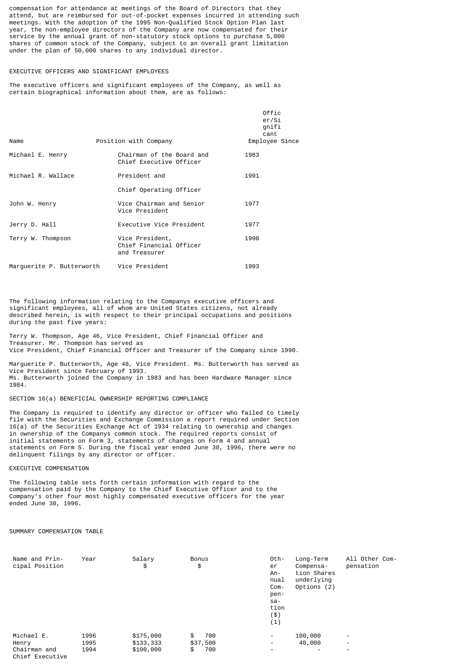compensation for attendance at meetings of the Board of Directors that they attend, but are reimbursed for out-of-pocket expenses incurred in attending such meetings. With the adoption of the 1995 Non-Qualified Stock Option Plan last year, the non-employee directors of the Company are now compensated for their service by the annual grant of non-statutory stock options to purchase 5,000 shares of common stock of the Company, subject to an overall grant limitation under the plan of 50,000 shares to any individual director.

## EXECUTIVE OFFICERS AND SIGNIFICANT EMPLOYEES

The executive officers and significant employees of the Company, as well as certain biographical information about them, are as follows:

|                           |                                                             | Offic<br>er/Si<br>qnifi<br>cant |
|---------------------------|-------------------------------------------------------------|---------------------------------|
| Name                      | Position with Company                                       | Employee Since                  |
| Michael E. Henry          | Chairman of the Board and<br>Chief Executive Officer        | 1983                            |
| Michael R. Wallace        | President and                                               | 1991                            |
|                           | Chief Operating Officer                                     |                                 |
| John W. Henry             | Vice Chairman and Senior<br>Vice President                  | 1977                            |
| Jerry D. Hall             | Executive Vice President                                    | 1977                            |
| Terry W. Thompson         | Vice President,<br>Chief Financial Officer<br>and Treasurer | 1990                            |
| Marquerite P. Butterworth | Vice President                                              | 1993                            |

The following information relating to the Companys executive officers and significant employees, all of whom are United States citizens, not already described herein, is with respect to their principal occupations and positions during the past five years:

Terry W. Thompson, Age 46, Vice President, Chief Financial Officer and Treasurer. Mr. Thompson has served as Vice President, Chief Financial Officer and Treasurer of the Company since 1990.

Marguerite P. Butterworth, Age 48, Vice President. Ms. Butterworth has served as Vice President since February of 1993. Ms. Butterworth joined the Company in 1983 and has been Hardware Manager since 1984.

SECTION 16(a) BENEFICIAL OWNERSHIP REPORTING COMPLIANCE

The Company is required to identify any director or officer who failed to timely file with the Securities and Exchange Commission a report required under Section 16(a) of the Securities Exchange Act of 1934 relating to ownership and changes in ownership of the Companys common stock. The required reports consist of initial statements on Form 3, statements of changes on Form 4 and annual statements on Form 5. During the fiscal year ended June 30, 1996, there were no delinquent filings by any director or officer.

EXECUTIVE COMPENSATION

The following table sets forth certain information with regard to the compensation paid by the Company to the Chief Executive Officer and to the Company's other four most highly compensated executive officers for the year ended June 30, 1996.

# SUMMARY COMPENSATION TABLE

| Name and Prin-<br>cipal Position | Year | Salary<br>\$ | <b>Bonus</b><br>\$ | Oth-<br>er<br>$An -$<br>nual<br>Com-<br>pen-<br>sa-<br>tion<br>(\$)<br>(1) | Long-Term<br>Compensa-<br>tion Shares<br>underlying<br>Options (2) | All Other Com-<br>pensation |
|----------------------------------|------|--------------|--------------------|----------------------------------------------------------------------------|--------------------------------------------------------------------|-----------------------------|
| Michael E.                       | 1996 | \$175,000    | \$<br>700          | $\overline{\phantom{0}}$                                                   | 100,000                                                            | -                           |
| Henry                            | 1995 | \$133,333    | \$37,500           | -                                                                          | 40,000                                                             | -                           |
| Chairman and<br>Chief Executive  | 1994 | \$100,000    | 700<br>\$          | $\overline{\phantom{a}}$                                                   | $\overline{\phantom{a}}$                                           |                             |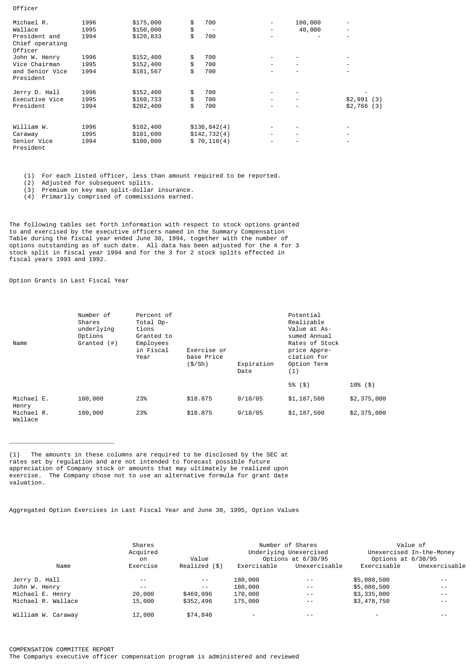| Michael R.                                  | 1996 | \$175,000 | \$<br>700    | $\overline{\phantom{a}}$ | 100,000                  | $\overline{\phantom{a}}$ |
|---------------------------------------------|------|-----------|--------------|--------------------------|--------------------------|--------------------------|
| Wallace                                     | 1995 | \$150,000 | \$           | $\overline{\phantom{a}}$ | 40,000                   | $\overline{\phantom{a}}$ |
| President and<br>Chief operating<br>Officer | 1994 | \$120,833 | \$<br>700    | $\overline{\phantom{a}}$ |                          | $\overline{\phantom{a}}$ |
| John W. Henry                               | 1996 | \$152,400 | \$<br>700    | -                        | $\overline{\phantom{a}}$ |                          |
| Vice Chairman                               | 1995 | \$152,400 | \$<br>700    | $\overline{\phantom{0}}$ | $\overline{\phantom{a}}$ | $\overline{\phantom{a}}$ |
| and Senior Vice<br>President                | 1994 | \$181,567 | \$<br>700    | $\overline{\phantom{0}}$ |                          | $\overline{\phantom{a}}$ |
| Jerry D. Hall                               | 1996 | \$152,400 | \$<br>700    | $\overline{\phantom{a}}$ | $\overline{\phantom{a}}$ |                          |
| Executive Vice                              | 1995 | \$160,733 | \$<br>700    | $\overline{\phantom{0}}$ | $\overline{\phantom{a}}$ | \$2,991(3)               |
| President                                   | 1994 | \$202,400 | \$<br>700    | $\overline{\phantom{0}}$ | $\overline{\phantom{a}}$ | \$2,766(3)               |
| William W.                                  | 1996 | \$102,400 | \$136,842(4) | -                        |                          | $\overline{\phantom{a}}$ |
| Caraway                                     | 1995 | \$101,600 | \$142,732(4) | $\overline{\phantom{a}}$ | $\overline{\phantom{a}}$ | $\overline{\phantom{a}}$ |
| Senior Vice<br>President                    | 1994 | \$100,000 | \$70, 110(4) | $\overline{\phantom{0}}$ |                          | $\overline{\phantom{a}}$ |

(1) For each listed officer, less than amount required to be reported.

(2) Adjusted for subsequent splits.

(3) Premium on key man split-dollar insurance.

(4) Primarily comprised of commissions earned.

The following tables set forth information with respect to stock options granted to and exercised by the executive officers named in the Summary Compensation Table during the fiscal year ended June 30, 1994, together with the number of options outstanding as of such date. All data has been adjusted for the 4 for 3 stock split in fiscal year 1994 and for the 3 for 2 stock splits effected in fiscal years 1993 and 1992.

Option Grants in Last Fiscal Year

 $\overline{\phantom{a}}$  , where  $\overline{\phantom{a}}$  , where  $\overline{\phantom{a}}$ 

Officer

| Name                  | Number of<br>Shares<br>underlying<br>Options<br>Granted $($ # $)$ | Percent of<br>Total Op-<br>tions<br>Granted to<br>Employees<br>in Fiscal<br>Exercise or<br>base Price<br>Year<br>(\$/Sh) |          | Expiration<br>Date | Potential<br>Realizable<br>Value at As-<br>sumed Annual<br>Rates of Stock<br>price Appre-<br>ciation for<br>Option Term<br>(1) |             |  |
|-----------------------|-------------------------------------------------------------------|--------------------------------------------------------------------------------------------------------------------------|----------|--------------------|--------------------------------------------------------------------------------------------------------------------------------|-------------|--|
|                       |                                                                   |                                                                                                                          |          |                    | $5\%$ (\$)                                                                                                                     | $10\%$ (\$) |  |
| Michael E.<br>Henry   | 100,000                                                           | 23%                                                                                                                      | \$18,875 | 9/18/05            | \$1,187,500                                                                                                                    | \$2,375,000 |  |
| Michael R.<br>Wallace | 100,000                                                           | 23%                                                                                                                      | \$18,875 | 9/18/05            | \$1,187,500                                                                                                                    | \$2,375,000 |  |

(1) The amounts in these columns are required to be disclosed by the SEC at rates set by regulation and are not intended to forecast possible future appreciation of Company stock or amounts that may ultimately be realized upon exercise. The Company chose not to use an alternative formula for grant date valuation.

Aggregated Option Exercises in Last Fiscal Year and June 30, 1995, Option Values

|                    | Shares<br>Acquired<br>on | Value         |             | Number of Shares<br>Underlying Unexercised<br>Options at 6/30/95 | Value of<br>Unexercised In-the-Money<br>Options at 6/30/95 |               |  |
|--------------------|--------------------------|---------------|-------------|------------------------------------------------------------------|------------------------------------------------------------|---------------|--|
| Name               | Exercise                 | Realized (\$) | Exercisable | Unexercisable                                                    | Exercisable                                                | Unexercisable |  |
| Jerry D. Hall      | $ -$                     | $- -$         | 180,000     | $ -$                                                             | \$5,080,500                                                | $ -$          |  |
| John W. Henry      | $- -$                    | $- -$         | 180,000     | $ -$                                                             | \$5,080,500                                                | $ -$          |  |
| Michael E. Henry   | 20,000                   | \$469,996     | 170,000     | $ -$                                                             | \$3,335,000                                                | $ -$          |  |
| Michael R. Wallace | 15,000                   | \$352,496     | 175,000     | $ -$                                                             | \$3,478,750                                                | $ -$          |  |
| William W. Carawav | 12,000                   | \$74,840      |             |                                                                  |                                                            |               |  |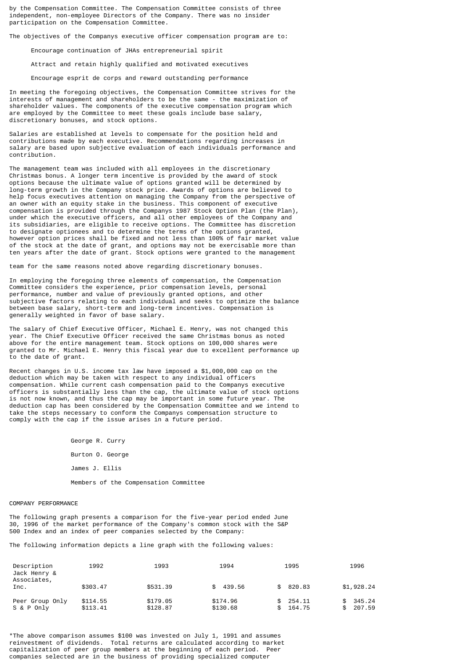by the Compensation Committee. The Compensation Committee consists of three independent, non-employee Directors of the Company. There was no insider participation on the Compensation Committee.

The objectives of the Companys executive officer compensation program are to:

Encourage continuation of JHAs entrepreneurial spirit

Attract and retain highly qualified and motivated executives

Encourage esprit de corps and reward outstanding performance

In meeting the foregoing objectives, the Compensation Committee strives for the interests of management and shareholders to be the same - the maximization of shareholder values. The components of the executive compensation program which are employed by the Committee to meet these goals include base salary, discretionary bonuses, and stock options.

Salaries are established at levels to compensate for the position held and contributions made by each executive. Recommendations regarding increases in salary are based upon subjective evaluation of each individuals performance and contribution.

The management team was included with all employees in the discretionary Christmas bonus. A longer term incentive is provided by the award of stock options because the ultimate value of options granted will be determined by long-term growth in the Company stock price. Awards of options are believed to help focus executives attention on managing the Company from the perspective of an owner with an equity stake in the business. This component of executive compensation is provided through the Companys 1987 Stock Option Plan (the Plan), under which the executive officers, and all other employees of the Company and its subsidiaries, are eligible to receive options. The Committee has discretion to designate optionees and to determine the terms of the options granted, however option prices shall be fixed and not less than 100% of fair market value of the stock at the date of grant, and options may not be exercisable more than ten years after the date of grant. Stock options were granted to the management

team for the same reasons noted above regarding discretionary bonuses.

In employing the foregoing three elements of compensation, the Compensation Committee considers the experience, prior compensation levels, personal performance, number and value of previously granted options, and other subjective factors relating to each individual and seeks to optimize the balance between base salary, short-term and long-term incentives. Compensation is generally weighted in favor of base salary.

The salary of Chief Executive Officer, Michael E. Henry, was not changed this year. The Chief Executive Officer received the same Christmas bonus as noted above for the entire management team. Stock options on 100,000 shares were granted to Mr. Michael E. Henry this fiscal year due to excellent performance up to the date of grant.

Recent changes in U.S. income tax law have imposed a \$1,000,000 cap on the deduction which may be taken with respect to any individual officers compensation. While current cash compensation paid to the Companys executive officers is substantially less than the cap, the ultimate value of stock options is not now known, and thus the cap may be important in some future year. The deduction cap has been considered by the Compensation Committee and we intend to take the steps necessary to conform the Companys compensation structure to comply with the cap if the issue arises in a future period.

> George R. Curry Burton O. George James J. Ellis Members of the Compensation Committee

#### COMPANY PERFORMANCE

The following graph presents a comparison for the five-year period ended June 30, 1996 of the market performance of the Company's common stock with the S&P 500 Index and an index of peer companies selected by the Company:

The following information depicts a line graph with the following values:

| Description<br>Jack Henry &<br>Associates, | 1992                 | 1993                 | 1994                 | 1995             | 1996                   |
|--------------------------------------------|----------------------|----------------------|----------------------|------------------|------------------------|
| Inc.                                       | \$303.47             | \$531.39             | 439.56<br>SS.        | 820.83           | \$1,928.24             |
| Peer Group Only<br>S & P Only              | \$114.55<br>\$113.41 | \$179.05<br>\$128.87 | \$174.96<br>\$130.68 | 254.11<br>164.75 | 345.24<br>207.59<br>\$ |

\*The above comparison assumes \$100 was invested on July 1, 1991 and assumes reinvestment of dividends. Total returns are calculated according to market capitalization of peer group members at the beginning of each period. Peer companies selected are in the business of providing specialized computer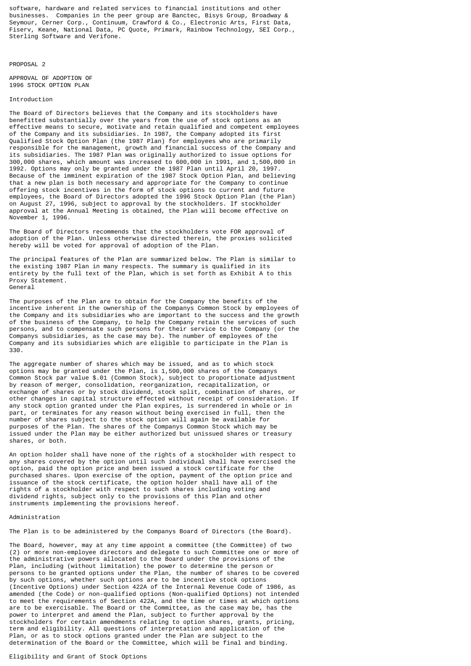software, hardware and related services to financial institutions and other businesses. Companies in the peer group are Banctec, Bisys Group, Broadway & Seymour, Cerner Corp., Continuum, Crawford & Co., Electronic Arts, First Data, Fiserv, Keane, National Data, PC Quote, Primark, Rainbow Technology, SEI Corp., Sterling Software and Verifone.

PROPOSAL 2

APPROVAL OF ADOPTION OF 1996 STOCK OPTION PLAN

# Introduction

The Board of Directors believes that the Company and its stockholders have benefitted substantially over the years from the use of stock options as an effective means to secure, motivate and retain qualified and competent employees of the Company and its subsidiaries. In 1987, the Company adopted its first Qualified Stock Option Plan (the 1987 Plan) for employees who are primarily responsible for the management, growth and financial success of the Company and its subsidiaries. The 1987 Plan was originally authorized to issue options for 300,000 shares, which amount was increased to 600,000 in 1991, and 1,500,000 in 1992. Options may only be granted under the 1987 Plan until April 20, 1997. Because of the imminent expiration of the 1987 Stock Option Plan, and believing that a new plan is both necessary and appropriate for the Company to continue offering stock incentives in the form of stock options to current and future employees, the Board of Directors adopted the 1996 Stock Option Plan (the Plan) on August 27, 1996, subject to approval by the stockholders. If stockholder approval at the Annual Meeting is obtained, the Plan will become effective on November 1, 1996.

The Board of Directors recommends that the stockholders vote FOR approval of adoption of the Plan. Unless otherwise directed therein, the proxies solicited hereby will be voted for approval of adoption of the Plan.

The principal features of the Plan are summarized below. The Plan is similar to the existing 1987 Plan in many respects. The summary is qualified in its entirety by the full text of the Plan, which is set forth as Exhibit A to this Proxy Statement. General

The purposes of the Plan are to obtain for the Company the benefits of the incentive inherent in the ownership of the Companys Common Stock by employees of the Company and its subsidiaries who are important to the success and the growth of the business of the Company, to help the Company retain the services of such persons, and to compensate such persons for their service to the Company (or the Companys subsidiaries, as the case may be). The number of employees of the Company and its subsidiaries which are eligible to participate in the Plan is 330.

The aggregate number of shares which may be issued, and as to which stock options may be granted under the Plan, is 1,500,000 shares of the Companys Common Stock par value \$.01 (Common Stock), subject to proportionate adjustment by reason of merger, consolidation, reorganization, recapitalization, or exchange of shares or by stock dividend, stock split, combination of shares, or other changes in capital structure effected without receipt of consideration. If any stock option granted under the Plan expires, is surrendered in whole or in part, or terminates for any reason without being exercised in full, then the number of shares subject to the stock option will again be available for purposes of the Plan. The shares of the Companys Common Stock which may be issued under the Plan may be either authorized but unissued shares or treasury shares, or both.

An option holder shall have none of the rights of a stockholder with respect to any shares covered by the option until such individual shall have exercised the option, paid the option price and been issued a stock certificate for the purchased shares. Upon exercise of the option, payment of the option price and issuance of the stock certificate, the option holder shall have all of the rights of a stockholder with respect to such shares including voting and dividend rights, subject only to the provisions of this Plan and other instruments implementing the provisions hereof.

# Administration

The Plan is to be administered by the Companys Board of Directors (the Board).

The Board, however, may at any time appoint a committee (the Committee) of two (2) or more non-employee directors and delegate to such Committee one or more of the administrative powers allocated to the Board under the provisions of the Plan, including (without limitation) the power to determine the person or persons to be granted options under the Plan, the number of shares to be covered by such options, whether such options are to be incentive stock options (Incentive Options) under Section 422A of the Internal Revenue Code of 1986, as amended (the Code) or non-qualified options (Non-qualified Options) not intended to meet the requirements of Section 422A, and the time or times at which options are to be exercisable. The Board or the Committee, as the case may be, has the power to interpret and amend the Plan, subject to further approval by the stockholders for certain amendments relating to option shares, grants, pricing, term and eligibility. All questions of interpretation and application of the Plan, or as to stock options granted under the Plan are subject to the determination of the Board or the Committee, which will be final and binding.

# Eligibility and Grant of Stock Options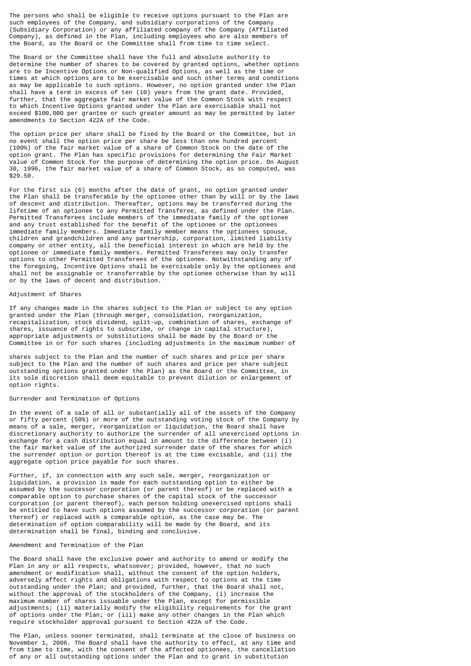The persons who shall be eligible to receive options pursuant to the Plan are such employees of the Company, and subsidiary corporations of the Company (Subsidiary Corporation) or any affiliated company of the Company (Affiliated Company), as defined in the Plan, including employees who are also members of the Board, as the Board or the Committee shall from time to time select.

The Board or the Committee shall have the full and absolute authority to determine the number of shares to be covered by granted options, whether options are to be Incentive Options or Non-qualified Options, as well as the time or times at which options are to be exercisable and such other terms and conditions as may be applicable to such options. However, no option granted under the Plan shall have a term in excess of ten (10) years from the grant date. Provided, further, that the aggregate fair market value of the Common Stock with respect to which Incentive Options granted under the Plan are exercisable shall not exceed \$100,000 per grantee or such greater amount as may be permitted by later amendments to Section 422A of the Code.

The option price per share shall be fixed by the Board or the Committee, but in no event shall the option price per share be less than one hundred percent (100%) of the fair market value of a share of Common Stock on the date of the option grant. The Plan has specific provisions for determining the Fair Market Value of Common Stock for the purpose of determining the option price. On August 30, 1996, the fair market value of a share of Common Stock, as so computed, was \$29.50.

For the first six (6) months after the date of grant, no option granted under the Plan shall be transferable by the optionee other than by will or by the laws of descent and distribution. Thereafter, options may be transferred during the lifetime of an optionee to any Permitted Transferee, as defined under the Plan. Permitted Transferees include members of the immediate family of the optionee and any trust established for the benefit of the optionee or the optionees immediate family members. Immediate family member means the optionees spouse, children and grandchildren and any partnership, corporation, limited liability company or other entity, all the beneficial interest in which are held by the optionee or immediate family members. Permitted Transferees may only transfer options to other Permitted Transferees of the optionee. Notwithstanding any of the foregoing, Incentive Options shall be exercisable only by the optionees and shall not be assignable or transferrable by the optionee otherwise than by will or by the laws of decent and distribution.

## Adjustment of Shares

If any changes made in the shares subject to the Plan or subject to any option granted under the Plan (through merger, consolidation, reorganization, recapitalization, stock dividend, split-up, combination of shares, exchange of shares, issuance of rights to subscribe, or change in capital structure), appropriate adjustments or substitutions shall be made by the Board or the Committee in or for such shares (including adjustments in the maximum number of

shares subject to the Plan and the number of such shares and price per share subject to the Plan and the number of such shares and price per share subject outstanding options granted under the Plan) as the Board or the Committee, in its sole discretion shall deem equitable to prevent dilution or enlargement of option rights.

## Surrender and Termination of Options

In the event of a sale of all or substantially all of the assets of the Company or fifty percent (50%) or more of the outstanding voting stock of the Company by means of a sale, merger, reorganization or liquidation, the Board shall have discretionary authority to authorize the surrender of all unexercised options in exchange for a cash distribution equal in amount to the difference between (i) the fair market value of the authorized surrender date of the shares for which the surrender option or portion thereof is at the time excisable, and (ii) the aggregate option price payable for such shares.

Further, if, in connection with any such sale, merger, reorganization or liquidation, a provision is made for each outstanding option to either be assumed by the successor corporation (or parent thereof) or be replaced with a comparable option to purchase shares of the capital stock of the successor corporation (or parent thereof), each person holding unexercised options shall be entitled to have such options assumed by the successor corporation (or parent thereof) or replaced with a comparable option, as the case may be. The determination of option comparability will be made by the Board, and its determination shall be final, binding and conclusive.

# Amendment and Termination of the Plan

The Board shall have the exclusive power and authority to amend or modify the Plan in any or all respects, whatsoever; provided, however, that no such amendment or modification shall, without the consent of the option holders, adversely affect rights and obligations with respect to options at the time outstanding under the Plan; and provided, further, that the Board shall not, without the approval of the stockholders of the Company, (i) increase the maximum number of shares issuable under the Plan, except for permissible adjustments; (ii) materially modify the eligibility requirements for the grant of options under the Plan; or (iii) make any other changes in the Plan which require stockholder approval pursuant to Section 422A of the Code.

The Plan, unless sooner terminated, shall terminate at the close of business on November 1, 2006. The Board shall have the authority to effect, at any time and from time to time, with the consent of the affected optionees, the cancellation of any or all outstanding options under the Plan and to grant in substitution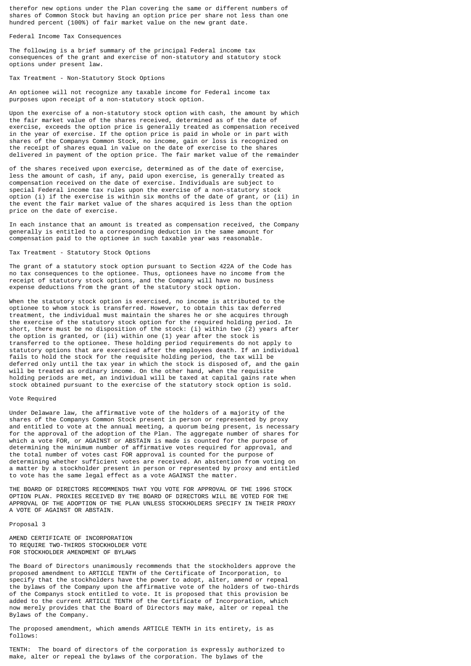therefor new options under the Plan covering the same or different numbers of shares of Common Stock but having an option price per share not less than one hundred percent (100%) of fair market value on the new grant date.

Federal Income Tax Consequences

The following is a brief summary of the principal Federal income tax consequences of the grant and exercise of non-statutory and statutory stock options under present law.

Tax Treatment - Non-Statutory Stock Options

An optionee will not recognize any taxable income for Federal income tax purposes upon receipt of a non-statutory stock option.

Upon the exercise of a non-statutory stock option with cash, the amount by which the fair market value of the shares received, determined as of the date of exercise, exceeds the option price is generally treated as compensation received in the year of exercise. If the option price is paid in whole or in part with shares of the Companys Common Stock, no income, gain or loss is recognized on the receipt of shares equal in value on the date of exercise to the shares delivered in payment of the option price. The fair market value of the remainder

of the shares received upon exercise, determined as of the date of exercise, less the amount of cash, if any, paid upon exercise, is generally treated as compensation received on the date of exercise. Individuals are subject to special Federal income tax rules upon the exercise of a non-statutory stock option (i) if the exercise is within six months of the date of grant, or (ii) in the event the fair market value of the shares acquired is less than the option price on the date of exercise.

In each instance that an amount is treated as compensation received, the Company generally is entitled to a corresponding deduction in the same amount for compensation paid to the optionee in such taxable year was reasonable.

#### Tax Treatment - Statutory Stock Options

The grant of a statutory stock option pursuant to Section 422A of the Code has no tax consequences to the optionee. Thus, optionees have no income from the receipt of statutory stock options, and the Company will have no business expense deductions from the grant of the statutory stock option.

When the statutory stock option is exercised, no income is attributed to the optionee to whom stock is transferred. However, to obtain this tax deferred treatment, the individual must maintain the shares he or she acquires through the exercise of the statutory stock option for the required holding period. In short, there must be no disposition of the stock: (i) within two (2) years after the option is granted, or (ii) within one (1) year after the stock is transferred to the optionee. These holding period requirements do not apply to statutory options that are exercised after the employees death. If an individual fails to hold the stock for the requisite holding period, the tax will be deferred only until the tax year in which the stock is disposed of, and the gain will be treated as ordinary income. On the other hand, when the requisite holding periods are met, an individual will be taxed at capital gains rate when stock obtained pursuant to the exercise of the statutory stock option is sold.

#### Vote Required

Under Delaware law, the affirmative vote of the holders of a majority of the shares of the Companys Common Stock present in person or represented by proxy and entitled to vote at the annual meeting, a quorum being present, is necessary for the approval of the adoption of the Plan. The aggregate number of shares for which a vote FOR, or AGAINST or ABSTAIN is made is counted for the purpose of determining the minimum number of affirmative votes required for approval, and the total number of votes cast FOR approval is counted for the purpose of determining whether sufficient votes are received. An abstention from voting on a matter by a stockholder present in person or represented by proxy and entitled to vote has the same legal effect as a vote AGAINST the matter.

THE BOARD OF DIRECTORS RECOMMENDS THAT YOU VOTE FOR APPROVAL OF THE 1996 STOCK OPTION PLAN. PROXIES RECEIVED BY THE BOARD OF DIRECTORS WILL BE VOTED FOR THE APPROVAL OF THE ADOPTION OF THE PLAN UNLESS STOCKHOLDERS SPECIFY IN THEIR PROXY A VOTE OF AGAINST OR ABSTAIN.

Proposal 3

AMEND CERTIFICATE OF INCORPORATION TO REQUIRE TWO-THIRDS STOCKHOLDER VOTE FOR STOCKHOLDER AMENDMENT OF BYLAWS

The Board of Directors unanimously recommends that the stockholders approve the proposed amendment to ARTICLE TENTH of the Certificate of Incorporation, to specify that the stockholders have the power to adopt, alter, amend or repeal the bylaws of the Company upon the affirmative vote of the holders of two-thirds of the Companys stock entitled to vote. It is proposed that this provision be added to the current ARTICLE TENTH of the Certificate of Incorporation, which now merely provides that the Board of Directors may make, alter or repeal the Bylaws of the Company.

The proposed amendment, which amends ARTICLE TENTH in its entirety, is as follows:

TENTH: The board of directors of the corporation is expressly authorized to make, alter or repeal the bylaws of the corporation. The bylaws of the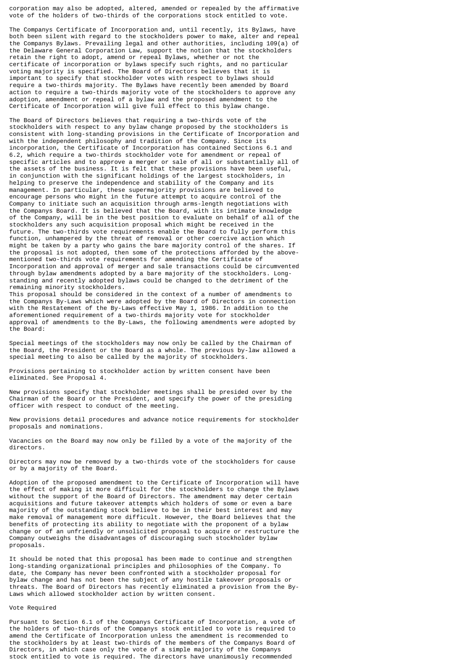corporation may also be adopted, altered, amended or repealed by the affirmative vote of the holders of two-thirds of the corporations stock entitled to vote.

The Companys Certificate of Incorporation and, until recently, its Bylaws, have both been silent with regard to the stockholders power to make, alter and repeal the Companys Bylaws. Prevailing legal and other authorities, including 109(a) of the Delaware General Corporation Law, support the notion that the stockholders retain the right to adopt, amend or repeal Bylaws, whether or not the certificate of incorporation or bylaws specify such rights, and no particular voting majority is specified. The Board of Directors believes that it is important to specify that stockholder votes with respect to bylaws should require a two-thirds majority. The Bylaws have recently been amended by Board action to require a two-thirds majority vote of the stockholders to approve any adoption, amendment or repeal of a bylaw and the proposed amendment to the Certificate of Incorporation will give full effect to this bylaw change.

The Board of Directors believes that requiring a two-thirds vote of the stockholders with respect to any bylaw change proposed by the stockholders is consistent with long-standing provisions in the Certificate of Incorporation and with the independent philosophy and tradition of the Company. Since its incorporation, the Certificate of Incorporation has contained Sections 6.1 and 6.2, which require a two-thirds stockholder vote for amendment or repeal of specific articles and to approve a merger or sale of all or substantially all of the assets of the business. It is felt that these provisions have been useful, in conjunction with the significant holdings of the largest stockholders, in helping to preserve the independence and stability of the Company and its management. In particular, these supermajority provisions are believed to encourage persons who might in the future attempt to acquire control of the Company to initiate such an acquisition through arms-length negotiations with the Companys Board. It is believed that the Board, with its intimate knowledge of the Company, will be in the best position to evaluate on behalf of all of the stockholders any such acquisition proposal which might be received in the future. The two-thirds vote requirements enable the Board to fully perform this function, unhampered by the threat of removal or other coercive action which might be taken by a party who gains the bare majority control of the shares. If the proposal is not adopted, then some of the protections afforded by the abovementioned two-thirds vote requirements for amending the Certificate of Incorporation and approval of merger and sale transactions could be circumvented through bylaw amendments adopted by a bare majority of the stockholders. Longstanding and recently adopted bylaws could be changed to the detriment of the remaining minority stockholders.

This proposal should be considered in the context of a number of amendments to the Companys By-Laws which were adopted by the Board of Directors in connection with the Restatement of the By-Laws effective May 1, 1986. In addition to the aforementioned requirement of a two-thirds majority vote for stockholder approval of amendments to the By-Laws, the following amendments were adopted by the Board:

Special meetings of the stockholders may now only be called by the Chairman of the Board, the President or the Board as a whole. The previous by-law allowed a special meeting to also be called by the majority of stockholders.

Provisions pertaining to stockholder action by written consent have been eliminated. See Proposal 4.

New provisions specify that stockholder meetings shall be presided over by the Chairman of the Board or the President, and specify the power of the presiding officer with respect to conduct of the meeting.

New provisions detail procedures and advance notice requirements for stockholder proposals and nominations.

Vacancies on the Board may now only be filled by a vote of the majority of the directors.

Directors may now be removed by a two-thirds vote of the stockholders for cause or by a majority of the Board.

Adoption of the proposed amendment to the Certificate of Incorporation will have the effect of making it more difficult for the stockholders to change the Bylaws without the support of the Board of Directors. The amendment may deter certain acquisitions and future takeover attempts which holders of some or even a bare majority of the outstanding stock believe to be in their best interest and may make removal of management more difficult. However, the Board believes that the benefits of protecting its ability to negotiate with the proponent of a bylaw change or of an unfriendly or unsolicited proposal to acquire or restructure the Company outweighs the disadvantages of discouraging such stockholder bylaw proposals.

It should be noted that this proposal has been made to continue and strengthen long-standing organizational principles and philosophies of the Company. To date, the Company has never been confronted with a stockholder proposal for bylaw change and has not been the subject of any hostile takeover proposals or threats. The Board of Directors has recently eliminated a provision from the By-Laws which allowed stockholder action by written consent.

## Vote Required

Pursuant to Section 6.1 of the Companys Certificate of Incorporation, a vote of the holders of two-thirds of the Companys stock entitled to vote is required to amend the Certificate of Incorporation unless the amendment is recommended to the stockholders by at least two-thirds of the members of the Companys Board of Directors, in which case only the vote of a simple majority of the Companys stock entitled to vote is required. The directors have unanimously recommended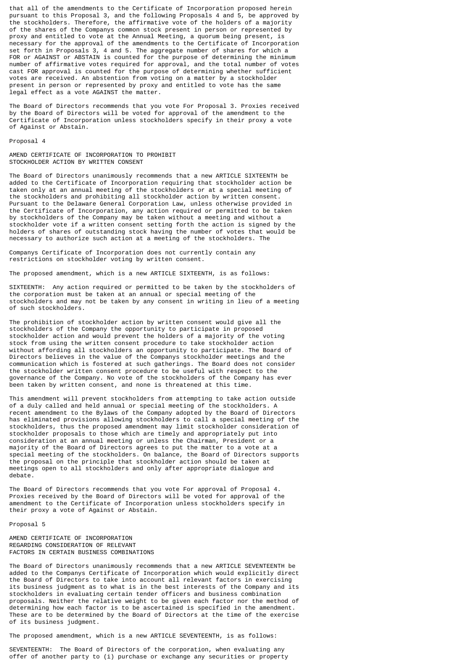that all of the amendments to the Certificate of Incorporation proposed herein pursuant to this Proposal 3, and the following Proposals 4 and 5, be approved by the stockholders. Therefore, the affirmative vote of the holders of a majority of the shares of the Companys common stock present in person or represented by proxy and entitled to vote at the Annual Meeting, a quorum being present, is necessary for the approval of the amendments to the Certificate of Incorporation set forth in Proposals 3, 4 and 5. The aggregate number of shares for which a FOR or AGAINST or ABSTAIN is counted for the purpose of determining the minimum number of affirmative votes required for approval, and the total number of votes cast FOR approval is counted for the purpose of determining whether sufficient votes are received. An abstention from voting on a matter by a stockholder present in person or represented by proxy and entitled to vote has the same legal effect as a vote AGAINST the matter.

The Board of Directors recommends that you vote For Proposal 3. Proxies received by the Board of Directors will be voted for approval of the amendment to the Certificate of Incorporation unless stockholders specify in their proxy a vote of Against or Abstain.

#### Proposal 4

AMEND CERTIFICATE OF INCORPORATION TO PROHIBIT STOCKHOLDER ACTION BY WRITTEN CONSENT

The Board of Directors unanimously recommends that a new ARTICLE SIXTEENTH be added to the Certificate of Incorporation requiring that stockholder action be taken only at an annual meeting of the stockholders or at a special meeting of the stockholders and prohibiting all stockholder action by written consent. Pursuant to the Delaware General Corporation Law, unless otherwise provided in the Certificate of Incorporation, any action required or permitted to be taken by stockholders of the Company may be taken without a meeting and without a stockholder vote if a written consent setting forth the action is signed by the holders of shares of outstanding stock having the number of votes that would be necessary to authorize such action at a meeting of the stockholders. The

Companys Certificate of Incorporation does not currently contain any restrictions on stockholder voting by written consent.

The proposed amendment, which is a new ARTICLE SIXTEENTH, is as follows:

SIXTEENTH: Any action required or permitted to be taken by the stockholders of the corporation must be taken at an annual or special meeting of the stockholders and may not be taken by any consent in writing in lieu of a meeting of such stockholders.

The prohibition of stockholder action by written consent would give all the stockholders of the Company the opportunity to participate in proposed stockholder action and would prevent the holders of a majority of the voting stock from using the written consent procedure to take stockholder action without affording all stockholders an opportunity to participate. The Board of Directors believes in the value of the Companys stockholder meetings and the communication which is fostered at such gatherings. The Board does not consider the stockholder written consent procedure to be useful with respect to the governance of the Company. No vote of the stockholders of the Company has ever been taken by written consent, and none is threatened at this time.

This amendment will prevent stockholders from attempting to take action outside of a duly called and held annual or special meeting of the stockholders. A recent amendment to the Bylaws of the Company adopted by the Board of Directors has eliminated provisions allowing stockholders to call a special meeting of the stockholders, thus the proposed amendment may limit stockholder consideration of stockholder proposals to those which are timely and appropriately put into consideration at an annual meeting or unless the Chairman, President or a majority of the Board of Directors agrees to put the matter to a vote at a special meeting of the stockholders. On balance, the Board of Directors supports the proposal on the principle that stockholder action should be taken at meetings open to all stockholders and only after appropriate dialogue and debate.

The Board of Directors recommends that you vote For approval of Proposal 4. Proxies received by the Board of Directors will be voted for approval of the amendment to the Certificate of Incorporation unless stockholders specify in their proxy a vote of Against or Abstain.

# Proposal 5

AMEND CERTIFICATE OF INCORPORATION REGARDING CONSIDERATION OF RELEVANT FACTORS IN CERTAIN BUSINESS COMBINATIONS

The Board of Directors unanimously recommends that a new ARTICLE SEVENTEENTH be added to the Companys Certificate of Incorporation which would explicitly direct the Board of Directors to take into account all relevant factors in exercising its business judgment as to what is in the best interests of the Company and its stockholders in evaluating certain tender officers and business combination proposals. Neither the relative weight to be given each factor nor the method of determining how each factor is to be ascertained is specified in the amendment. These are to be determined by the Board of Directors at the time of the exercise of its business judgment.

The proposed amendment, which is a new ARTICLE SEVENTEENTH, is as follows:

SEVENTEENTH: The Board of Directors of the corporation, when evaluating any offer of another party to (i) purchase or exchange any securities or property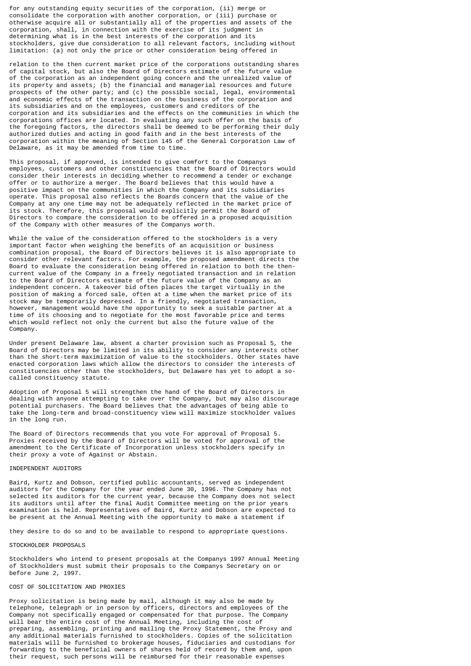for any outstanding equity securities of the corporation, (ii) merge or consolidate the corporation with another corporation, or (iii) purchase or otherwise acquire all or substantially all of the properties and assets of the corporation, shall, in connection with the exercise of its judgment in determining what is in the best interests of the corporation and its stockholders, give due consideration to all relevant factors, including without limitation: (a) not only the price or other consideration being offered in

relation to the then current market price of the corporations outstanding shares of capital stock, but also the Board of Directors estimate of the future value of the corporation as an independent going concern and the unrealized value of its property and assets; (b) the financial and managerial resources and future prospects of the other party; and (c) the possible social, legal, environmental and economic effects of the transaction on the business of the corporation and its subsidiaries and on the employees, customers and creditors of the corporation and its subsidiaries and the effects on the communities in which the corporations offices are located. In evaluating any such offer on the basis of the foregoing factors, the directors shall be deemed to be performing their duly authorized duties and acting in good faith and in the best interests of the corporation within the meaning of Section 145 of the General Corporation Law of Delaware, as it may be amended from time to time.

This proposal, if approved, is intended to give comfort to the Companys employees, customers and other constituencies that the Board of Directors would consider their interests in deciding whether to recommend a tender or exchange offer or to authorize a merger. The Board believes that this would have a positive impact on the communities in which the Company and its subsidiaries operate. This proposal also reflects the Boards concern that the value of the Company at any one time may not be adequately reflected in the market price of its stock. Therefore, this proposal would explicitly permit the Board of Directors to compare the consideration to be offered in a proposed acquisition of the Company with other measures of the Companys worth.

While the value of the consideration offered to the stockholders is a very important factor when weighing the benefits of an acquisition or business combination proposal, the Board of Directors believes it is also appropriate to consider other relevant factors. For example, the proposed amendment directs the Board to evaluate the consideration being offered in relation to both the thencurrent value of the Company in a freely negotiated transaction and in relation to the Board of Directors estimate of the future value of the Company as an independent concern. A takeover bid often places the target virtually in the position of making a forced sale, often at a time when the market price of its stock may be temporarily depressed. In a friendly, negotiated transaction, however, management would have the opportunity to seek a suitable partner at a time of its choosing and to negotiate for the most favorable price and terms which would reflect not only the current but also the future value of the Company.

Under present Delaware law, absent a charter provision such as Proposal 5, the Board of Directors may be limited in its ability to consider any interests other than the short-term maximization of value to the stockholders. Other states have enacted corporation laws which allow the directors to consider the interests of constituencies other than the stockholders, but Delaware has yet to adopt a socalled constituency statute.

Adoption of Proposal 5 will strengthen the hand of the Board of Directors in dealing with anyone attempting to take over the Company, but may also discourage potential purchasers. The Board believes that the advantages of being able to take the long-term and broad-constituency view will maximize stockholder values in the long run.

The Board of Directors recommends that you vote For approval of Proposal 5. Proxies received by the Board of Directors will be voted for approval of the amendment to the Certificate of Incorporation unless stockholders specify in their proxy a vote of Against or Abstain.

#### INDEPENDENT AUDITORS

Baird, Kurtz and Dobson, certified public accountants, served as independent auditors for the Company for the year ended June 30, 1996. The Company has not selected its auditors for the current year, because the Company does not select its auditors until after the final Audit Committee meeting on the prior years examination is held. Representatives of Baird, Kurtz and Dobson are expected to be present at the Annual Meeting with the opportunity to make a statement if

they desire to do so and to be available to respond to appropriate questions.

#### STOCKHOLDER PROPOSALS

Stockholders who intend to present proposals at the Companys 1997 Annual Meeting of Stockholders must submit their proposals to the Companys Secretary on or before June 2, 1997.

# COST OF SOLICITATION AND PROXIES

Proxy solicitation is being made by mail, although it may also be made by telephone, telegraph or in person by officers, directors and employees of the Company not specifically engaged or compensated for that purpose. The Company will bear the entire cost of the Annual Meeting, including the cost of preparing, assembling, printing and mailing the Proxy Statement, the Proxy and any additional materials furnished to stockholders. Copies of the solicitation materials will be furnished to brokerage houses, fiduciaries and custodians for forwarding to the beneficial owners of shares held of record by them and, upon their request, such persons will be reimbursed for their reasonable expenses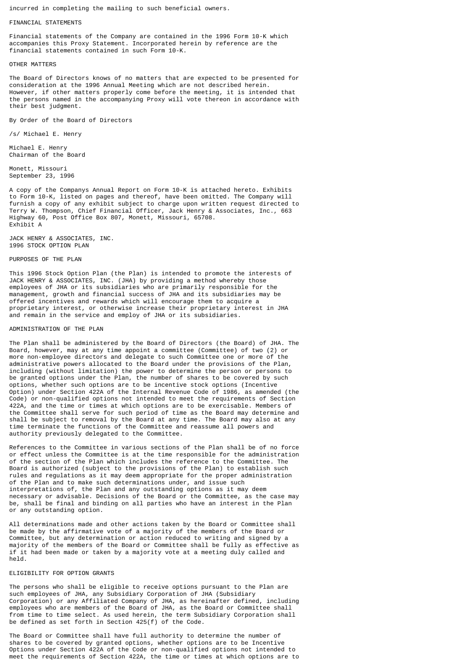incurred in completing the mailing to such beneficial owners.

# FINANCIAL STATEMENTS

Financial statements of the Company are contained in the 1996 Form 10-K which accompanies this Proxy Statement. Incorporated herein by reference are the financial statements contained in such Form 10-K.

# OTHER MATTERS

The Board of Directors knows of no matters that are expected to be presented for consideration at the 1996 Annual Meeting which are not described herein. However, if other matters properly come before the meeting, it is intended that the persons named in the accompanying Proxy will vote thereon in accordance with their best judgment.

By Order of the Board of Directors

/s/ Michael E. Henry

Michael E. Henry Chairman of the Board

Monett, Missouri September 23, 1996

A copy of the Companys Annual Report on Form 10-K is attached hereto. Exhibits to Form 10-K, listed on pages and thereof, have been omitted. The Company will furnish a copy of any exhibit subject to charge upon written request directed to Terry W. Thompson, Chief Financial Officer, Jack Henry & Associates, Inc., 663 Highway 60, Post Office Box 807, Monett, Missouri, 65708. Exhibit A

JACK HENRY & ASSOCIATES, INC. 1996 STOCK OPTION PLAN

#### PURPOSES OF THE PLAN

This 1996 Stock Option Plan (the Plan) is intended to promote the interests of JACK HENRY & ASSOCIATES, INC. (JHA) by providing a method whereby those employees of JHA or its subsidiaries who are primarily responsible for the management, growth and financial success of JHA and its subsidiaries may be offered incentives and rewards which will encourage them to acquire a proprietary interest, or otherwise increase their proprietary interest in JHA and remain in the service and employ of JHA or its subsidiaries.

## ADMINISTRATION OF THE PLAN

The Plan shall be administered by the Board of Directors (the Board) of JHA. The Board, however, may at any time appoint a committee (Committee) of two (2) or more non-employee directors and delegate to such Committee one or more of the administrative powers allocated to the Board under the provisions of the Plan, including (without limitation) the power to determine the person or persons to be granted options under the Plan, the number of shares to be covered by such options, whether such options are to be incentive stock options (Incentive Option) under Section 422A of the Internal Revenue Code of 1986, as amended (the Code) or non-qualified options not intended to meet the requirements of Section 422A, and the time or times at which options are to be exercisable. Members of the Committee shall serve for such period of time as the Board may determine and shall be subject to removal by the Board at any time. The Board may also at any time terminate the functions of the Committee and reassume all powers and authority previously delegated to the Committee.

References to the Committee in various sections of the Plan shall be of no force or effect unless the Committee is at the time responsible for the administration of the section of the Plan which includes the reference to the Committee. The Board is authorized (subject to the provisions of the Plan) to establish such rules and regulations as it may deem appropriate for the proper administration of the Plan and to make such determinations under, and issue such interpretations of, the Plan and any outstanding options as it may deem necessary or advisable. Decisions of the Board or the Committee, as the case may be, shall be final and binding on all parties who have an interest in the Plan or any outstanding option.

All determinations made and other actions taken by the Board or Committee shall be made by the affirmative vote of a majority of the members of the Board or Committee, but any determination or action reduced to writing and signed by a majority of the members of the Board or Committee shall be fully as effective as if it had been made or taken by a majority vote at a meeting duly called and held.

#### ELIGIBILITY FOR OPTION GRANTS

The persons who shall be eligible to receive options pursuant to the Plan are such employees of JHA, any Subsidiary Corporation of JHA (Subsidiary Corporation) or any Affiliated Company of JHA, as hereinafter defined, including employees who are members of the Board of JHA, as the Board or Committee shall from time to time select. As used herein, the term Subsidiary Corporation shall be defined as set forth in Section 425(f) of the Code.

The Board or Committee shall have full authority to determine the number of shares to be covered by granted options, whether options are to be Incentive Options under Section 422A of the Code or non-qualified options not intended to meet the requirements of Section 422A, the time or times at which options are to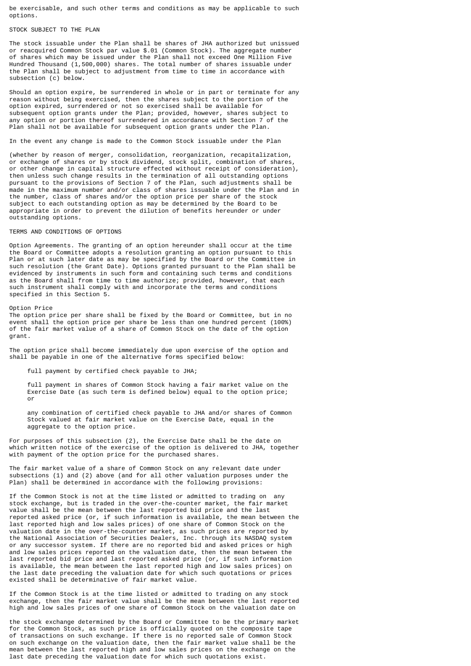be exercisable, and such other terms and conditions as may be applicable to such options.

# STOCK SUBJECT TO THE PLAN

The stock issuable under the Plan shall be shares of JHA authorized but unissued or reacquired Common Stock par value \$.01 (Common Stock). The aggregate number of shares which may be issued under the Plan shall not exceed One Million Five Hundred Thousand (1,500,000) shares. The total number of shares issuable under the Plan shall be subject to adjustment from time to time in accordance with subsection (c) below.

Should an option expire, be surrendered in whole or in part or terminate for any reason without being exercised, then the shares subject to the portion of the option expired, surrendered or not so exercised shall be available for subsequent option grants under the Plan; provided, however, shares subject to any option or portion thereof surrendered in accordance with Section 7 of the Plan shall not be available for subsequent option grants under the Plan.

In the event any change is made to the Common Stock issuable under the Plan

(whether by reason of merger, consolidation, reorganization, recapitalization, or exchange of shares or by stock dividend, stock split, combination of shares, or other change in capital structure effected without receipt of consideration), then unless such change results in the termination of all outstanding options pursuant to the provisions of Section 7 of the Plan, such adjustments shall be made in the maximum number and/or class of shares issuable under the Plan and in the number, class of shares and/or the option price per share of the stock subject to each outstanding option as may be determined by the Board to be appropriate in order to prevent the dilution of benefits hereunder or under outstanding options.

TERMS AND CONDITIONS OF OPTIONS

Option Agreements. The granting of an option hereunder shall occur at the time the Board or Committee adopts a resolution granting an option pursuant to this Plan or at such later date as may be specified by the Board or the Committee in such resolution (the Grant Date). Options granted pursuant to the Plan shall be evidenced by instruments in such form and containing such terms and conditions as the Board shall from time to time authorize; provided, however, that each such instrument shall comply with and incorporate the terms and conditions specified in this Section 5.

Option Price

The option price per share shall be fixed by the Board or Committee, but in no event shall the option price per share be less than one hundred percent (100%) of the fair market value of a share of Common Stock on the date of the option grant.

The option price shall become immediately due upon exercise of the option and shall be payable in one of the alternative forms specified below:

full payment by certified check payable to JHA;

 full payment in shares of Common Stock having a fair market value on the Exercise Date (as such term is defined below) equal to the option price; or

 any combination of certified check payable to JHA and/or shares of Common Stock valued at fair market value on the Exercise Date, equal in the aggregate to the option price.

For purposes of this subsection (2), the Exercise Date shall be the date on which written notice of the exercise of the option is delivered to JHA, together with payment of the option price for the purchased shares.

The fair market value of a share of Common Stock on any relevant date under subsections (1) and (2) above (and for all other valuation purposes under the Plan) shall be determined in accordance with the following provisions:

If the Common Stock is not at the time listed or admitted to trading on any stock exchange, but is traded in the over-the-counter market, the fair market value shall be the mean between the last reported bid price and the last reported asked price (or, if such information is available, the mean between the last reported high and low sales prices) of one share of Common Stock on the valuation date in the over-the-counter market, as such prices are reported by the National Association of Securities Dealers, Inc. through its NASDAQ system or any successor system. If there are no reported bid and asked prices or high and low sales prices reported on the valuation date, then the mean between the last reported bid price and last reported asked price (or, if such information is available, the mean between the last reported high and low sales prices) on the last date preceding the valuation date for which such quotations or prices existed shall be determinative of fair market value.

If the Common Stock is at the time listed or admitted to trading on any stock exchange, then the fair market value shall be the mean between the last reported high and low sales prices of one share of Common Stock on the valuation date on

the stock exchange determined by the Board or Committee to be the primary market for the Common Stock, as such price is officially quoted on the composite tape of transactions on such exchange. If there is no reported sale of Common Stock on such exchange on the valuation date, then the fair market value shall be the mean between the last reported high and low sales prices on the exchange on the last date preceding the valuation date for which such quotations exist.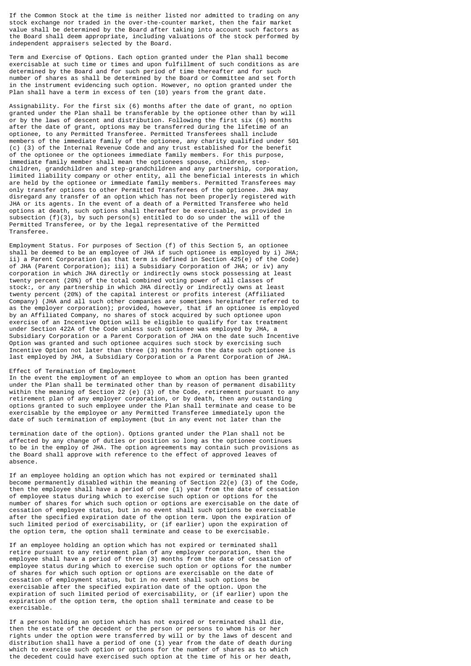If the Common Stock at the time is neither listed nor admitted to trading on any stock exchange nor traded in the over-the-counter market, then the fair market value shall be determined by the Board after taking into account such factors as the Board shall deem appropriate, including valuations of the stock performed by independent appraisers selected by the Board.

Term and Exercise of Options. Each option granted under the Plan shall become exercisable at such time or times and upon fulfillment of such conditions as are determined by the Board and for such period of time thereafter and for such number of shares as shall be determined by the Board or Committee and set forth in the instrument evidencing such option. However, no option granted under the Plan shall have a term in excess of ten (10) years from the grant date.

Assignability. For the first six (6) months after the date of grant, no option granted under the Plan shall be transferable by the optionee other than by will or by the laws of descent and distribution. Following the first six (6) months after the date of grant, options may be transferred during the lifetime of an optionee, to any Permitted Transferee. Permitted Transferees shall include members of the immediate family of the optionee, any charity qualified under 501 (c) (3) of the Internal Revenue Code and any trust established for the benefit of the optionee or the optionees immediate family members. For this purpose, immediate family member shall mean the optionees spouse, children, stepchildren, grandchildren and step-grandchildren and any partnership, corporation, limited liability company or other entity, all the beneficial interests in which are held by the optionee or immediate family members. Permitted Transferees may only transfer options to other Permitted Transferees of the optionee. JHA may disregard any transfer of an option which has not been properly registered with JHA or its agents. In the event of a death of a Permitted Transferee who held options at death, such options shall thereafter be exercisable, as provided in subsection (f)(3), by such person(s) entitled to do so under the will of the Permitted Transferee, or by the legal representative of the Permitted Transferee.

Employment Status. For purposes of Section (f) of this Section 5, an optionee shall be deemed to be an employee of JHA if such optionee is employed by i) JHA; ii) a Parent Corporation (as that term is defined in Section 425(e) of the Code) of JHA (Parent Corporation); iii) a Subsidiary Corporation of JHA; or iv) any corporation in which JHA directly or indirectly owns stock possessing at least twenty percent (20%) of the total combined voting power of all classes of stock:, or any partnership in which JHA directly or indirectly owns at least twenty percent (20%) of the capital interest or profits interest (Affiliated Company) (JHA and all such other companies are sometimes hereinafter referred to as the employer corporation); provided, however, that if an optionee is employed by an Affiliated Company, no shares of stock acquired by such optionee upon exercise of an Incentive Option will be eligible to qualify for tax treatment under Section 422A of the Code unless such optionee was employed by JHA, a Subsidiary Corporation or a Parent Corporation of JHA on the date such Incentive Option was granted and such optionee acquires such stock by exercising such Incentive Option not later than three (3) months from the date such optionee is last employed by JHA, a Subsidiary Corporation or a Parent Corporation of JHA.

# Effect of Termination of Employment

In the event the employment of an employee to whom an option has been granted under the Plan shall be terminated other than by reason of permanent disability within the meaning of Section 22 (e) (3) of the Code, retirement pursuant to any retirement plan of any employer corporation, or by death, then any outstanding options granted to such employee under the Plan shall terminate and cease to be exercisable by the employee or any Permitted Transferee immediately upon the date of such termination of employment (but in any event not later than the

termination date of the option). Options granted under the Plan shall not be affected by any change of duties or position so long as the optionee continues to be in the employ of JHA. The option agreements may contain such provisions as the Board shall approve with reference to the effect of approved leaves of absence.

If an employee holding an option which has not expired or terminated shall become permanently disabled within the meaning of Section 22(e) (3) of the Code, then the employee shall have a period of one (1) year from the date of cessation of employee status during which to exercise such option or options for the number of shares for which such option or options are exercisable on the date of cessation of employee status, but in no event shall such options be exercisable after the specified expiration date of the option term. Upon the expiration of such limited period of exercisability, or (if earlier) upon the expiration of the option term, the option shall terminate and cease to be exercisable.

If an employee holding an option which has not expired or terminated shall retire pursuant to any retirement plan of any employer corporation, then the employee shall have a period of three (3) months from the date of cessation of employee status during which to exercise such option or options for the number of shares for which such option or options are exercisable on the date of cessation of employment status, but in no event shall such options be exercisable after the specified expiration date of the option. Upon the expiration of such limited period of exercisability, or (if earlier) upon the expiration of the option term, the option shall terminate and cease to be exercisable.

If a person holding an option which has not expired or terminated shall die, then the estate of the decedent or the person or persons to whom his or her rights under the option were transferred by will or by the laws of descent and distribution shall have a period of one (1) year from the date of death during which to exercise such option or options for the number of shares as to which the decedent could have exercised such option at the time of his or her death,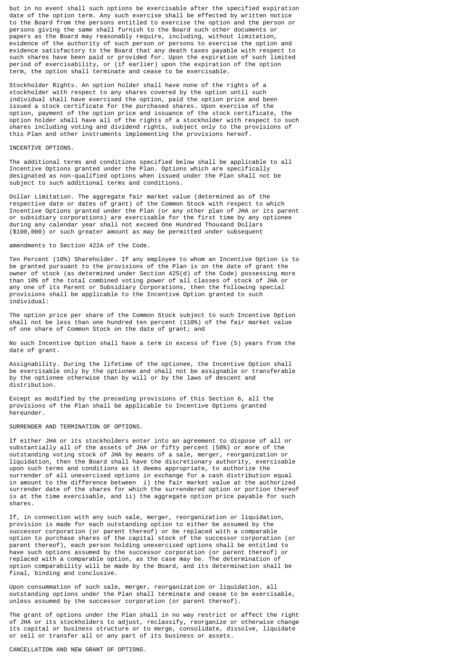but in no event shall such options be exercisable after the specified expiration date of the option term. Any such exercise shall be effected by written notice to the Board from the persons entitled to exercise the option and the person or persons giving the same shall furnish to the Board such other documents or papers as the Board may reasonably require, including, without limitation, evidence of the authority of such person or persons to exercise the option and evidence satisfactory to the Board that any death taxes payable with respect to such shares have been paid or provided for. Upon the expiration of such limited period of exercisability, or (if earlier) upon the expiration of the option term, the option shall terminate and cease to be exercisable.

Stockholder Rights. An option holder shall have none of the rights of a stockholder with respect to any shares covered by the option until such individual shall have exercised the option, paid the option price and been issued a stock certificate for the purchased shares. Upon exercise of the option, payment of the option price and issuance of the stock certificate, the option holder shall have all of the rights of a stockholder with respect to such shares including voting and dividend rights, subject only to the provisions of this Plan and other instruments implementing the provisions hereof.

#### INCENTIVE OPTIONS.

The additional terms and conditions specified below shall be applicable to all Incentive Options granted under the Plan. Options which are specifically designated as non-qualified options when issued under the Plan shall not be subject to such additional terms and conditions.

Dollar Limitation. The aggregate fair market value (determined as of the respective date or dates of grant) of the Common Stock with respect to which Incentive Options granted under the Plan (or any other plan of JHA or its parent or subsidiary corporations) are exercisable for the first time by any optionee during any calendar year shall not exceed One Hundred Thousand Dollars (\$100,000) or such greater amount as may be permitted under subsequent

# amendments to Section 422A of the Code.

Ten Percent (10%) Shareholder. If any employee to whom an Incentive Option is to be granted pursuant to the provisions of the Plan is on the date of grant the owner of stock (as determined under Section 425(d) of the Code) possessing more than 10% of the total combined voting power of all classes of stock of JHA or any one of its Parent or Subsidiary Corporations, then the following special provisions shall be applicable to the Incentive Option granted to such individual:

The option price per share of the Common Stock subject to such Incentive Option shall not be less than one hundred ten percent (110%) of the fair market value of one share of Common Stock on the date of grant; and

No such Incentive Option shall have a term in excess of five (5) years from the date of grant.

Assignability. During the lifetime of the optionee, the Incentive Option shall be exercisable only by the optionee and shall not be assignable or transferable by the optionee otherwise than by will or by the laws of descent and distribution.

Except as modified by the preceding provisions of this Section 6, all the provisions of the Plan shall be applicable to Incentive Options granted hereunder.

## SURRENDER AND TERMINATION OF OPTIONS.

If either JHA or its stockholders enter into an agreement to dispose of all or substantially all of the assets of JHA or fifty percent (50%) or more of the outstanding voting stock of JHA by means of a sale, merger, reorganization or liquidation, then the Board shall have the discretionary authority, exercisable upon such terms and conditions as it deems appropriate, to authorize the surrender of all unexercised options in exchange for a cash distribution equal in amount to the difference between i) the fair market value at the authorized surrender date of the shares for which the surrendered option or portion thereof is at the time exercisable, and ii) the aggregate option price payable for such shares.

If, in connection with any such sale, merger, reorganization or liquidation, provision is made for each outstanding option to either be assumed by the successor corporation (or parent thereof) or be replaced with a comparable option to purchase shares of the capital stock of the successor corporation (or parent thereof), each person holding unexercised options shall be entitled to have such options assumed by the successor corporation (or parent thereof) or replaced with a comparable option, as the case may be. The determination of option comparability will be made by the Board, and its determination shall be final, binding and conclusive.

Upon consummation of such sale, merger, reorganization or liquidation, all outstanding options under the Plan shall terminate and cease to be exercisable, unless assumed by the successor corporation (or parent thereof).

The grant of options under the Plan shall in no way restrict or affect the right of JHA or its stockholders to adjust, reclassify, reorganize or otherwise change its capital or business structure or to merge, consolidate, dissolve, liquidate or sell or transfer all or any part of its business or assets.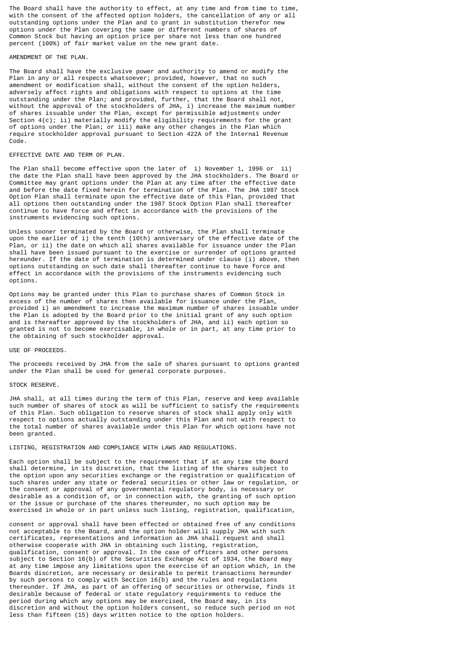The Board shall have the authority to effect, at any time and from time to time, with the consent of the affected option holders, the cancellation of any or all outstanding options under the Plan and to grant in substitution therefor new options under the Plan covering the same or different numbers of shares of Common Stock but having an option price per share not less than one hundred percent (100%) of fair market value on the new grant date.

# AMENDMENT OF THE PLAN.

The Board shall have the exclusive power and authority to amend or modify the Plan in any or all respects whatsoever; provided, however, that no such amendment or modification shall, without the consent of the option holders, adversely affect rights and obligations with respect to options at the time outstanding under the Plan; and provided, further, that the Board shall not, without the approval of the stockholders of JHA, i) increase the maximum number of shares issuable under the Plan, except for permissible adjustments under Section 4(c); ii) materially modify the eligibility requirements for the grant of options under the Plan; or iii) make any other changes in the Plan which require stockholder approval pursuant to Section 422A of the Internal Revenue Code.

#### EFFECTIVE DATE AND TERM OF PLAN.

The Plan shall become effective upon the later of i) November 1, 1996 or ii) the date the Plan shall have been approved by the JHA stockholders. The Board or Committee may grant options under the Plan at any time after the effective date and before the date fixed herein for termination of the Plan. The JHA 1987 Stock Option Plan shall terminate upon the effective date of this Plan, provided that all options then outstanding under the 1987 Stock Option Plan shall thereafter continue to have force and effect in accordance with the provisions of the instruments evidencing such options.

Unless sooner terminated by the Board or otherwise, the Plan shall terminate upon the earlier of i) the tenth (10th) anniversary of the effective date of the Plan, or ii) the date on which all shares available for issuance under the Plan shall have been issued pursuant to the exercise or surrender of options granted hereunder. If the date of termination is determined under clause (i) above, then options outstanding on such date shall thereafter continue to have force and effect in accordance with the provisions of the instruments evidencing such options.

Options may be granted under this Plan to purchase shares of Common Stock in excess of the number of shares then available for issuance under the Plan, provided i) an amendment to increase the maximum number of shares issuable under the Plan is adopted by the Board prior to the initial grant of any such option and is thereafter approved by the stockholders of JHA, and ii) each option so granted is not to become exercisable, in whole or in part, at any time prior to the obtaining of such stockholder approval.

#### USE OF PROCEEDS.

The proceeds received by JHA from the sale of shares pursuant to options granted under the Plan shall be used for general corporate purposes.

# STOCK RESERVE.

JHA shall, at all times during the term of this Plan, reserve and keep available such number of shares of stock as will be sufficient to satisfy the requirements of this Plan. Such obligation to reserve shares of stock shall apply only with respect to options actually outstanding under this Plan and not with respect to the total number of shares available under this Plan for which options have not been granted.

LISTING, REGISTRATION AND COMPLIANCE WITH LAWS AND REGULATIONS.

Each option shall be subject to the requirement that if at any time the Board shall determine, in its discretion, that the listing of the shares subject to the option upon any securities exchange or the registration or qualification of such shares under any state or federal securities or other law or regulation, or the consent or approval of any governmental regulatory body, is necessary or desirable as a condition of, or in connection with, the granting of such option or the issue or purchase of the shares thereunder, no such option may be exercised in whole or in part unless such listing, registration, qualification,

consent or approval shall have been effected or obtained free of any conditions not acceptable to the Board, and the option holder will supply JHA with such certificates, representations and information as JHA shall request and shall otherwise cooperate with JHA in obtaining such listing, registration, qualification, consent or approval. In the case of officers and other persons subject to Section 16(b) of the Securities Exchange Act of 1934, the Board may at any time impose any limitations upon the exercise of an option which, in the Boards discretion, are necessary or desirable to permit transactions hereunder by such persons to comply with Section 16(b) and the rules and regulations thereunder. If JHA, as part of an offering of securities or otherwise, finds it desirable because of federal or state regulatory requirements to reduce the period during which any options may be exercised, the Board may, in its discretion and without the option holders consent, so reduce such period on not less than fifteen (15) days written notice to the option holders.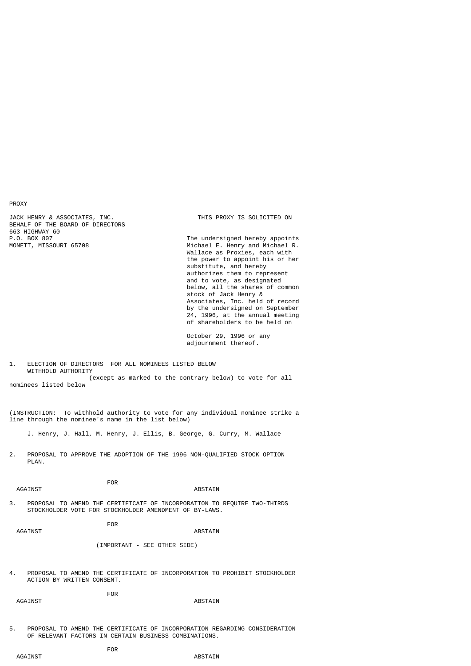PROXY

JACK HENRY & ASSOCIATES, INC. THIS PROXY IS SOLICITED ON BEHALF OF THE BOARD OF DIRECTORS 663 HIGHWAY 60<br>P.O. BOX 807<br>MONETT, MISSOURI 65708

The undersigned hereby appoints Michael E. Henry and Michael R. Wallace as Proxies, each with the power to appoint his or her substitute, and hereby authorizes them to represent and to vote, as designated below, all the shares of common stock of Jack Henry & Associates, Inc. held of record by the undersigned on September 24, 1996, at the annual meeting of shareholders to be held on

> October 29, 1996 or any adjournment thereof.

1. ELECTION OF DIRECTORS FOR ALL NOMINEES LISTED BELOW WITHHOLD AUTHORITY (except as marked to the contrary below) to vote for all

nominees listed below

(INSTRUCTION: To withhold authority to vote for any individual nominee strike a line through the nominee's name in the list below)

J. Henry, J. Hall, M. Henry, J. Ellis, B. George, G. Curry, M. Wallace

2. PROPOSAL TO APPROVE THE ADOPTION OF THE 1996 NON-QUALIFIED STOCK OPTION PLAN.

AGAINST ABSTAIN

**FOR** 

3. PROPOSAL TO AMEND THE CERTIFICATE OF INCORPORATION TO REQUIRE TWO-THIRDS STOCKHOLDER VOTE FOR STOCKHOLDER AMENDMENT OF BY-LAWS.

**FOR** 

# AGAINST AGAINST AGAINST AGAINST AGAINST AGAINST AGAINST AGAINST AGAINST AGAINST AGAINST AGAINST AGAINST AGAINST AGAINST AGAINST AGAINST AGAINST AGAINST AGAINST AGAINST AGAINST AGAINST AGAINST AGAINST AGAINST AGAINST AGAINS

(IMPORTANT - SEE OTHER SIDE)

4. PROPOSAL TO AMEND THE CERTIFICATE OF INCORPORATION TO PROHIBIT STOCKHOLDER ACTION BY WRITTEN CONSENT.

**FOR** AGAINST AGAINST AGAINST AGAINST AGAINST AGAINST AGAINST AGAINST AGAINST AGAINST AGAINST AGAINST AGAINST AGAINST AGAINST AGAINST AGAINST AGAINST AGAINST AGAINST AGAINST AGAINST AGAINST AGAINST AGAINST AGAINST AGAINST AGAINS

5. PROPOSAL TO AMEND THE CERTIFICATE OF INCORPORATION REGARDING CONSIDERATION OF RELEVANT FACTORS IN CERTAIN BUSINESS COMBINATIONS.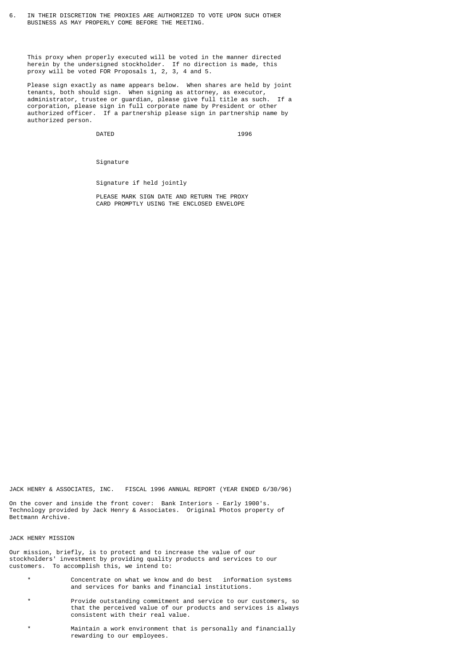6. IN THEIR DISCRETION THE PROXIES ARE AUTHORIZED TO VOTE UPON SUCH OTHER BUSINESS AS MAY PROPERLY COME BEFORE THE MEETING.

 This proxy when properly executed will be voted in the manner directed herein by the undersigned stockholder. If no direction is made, this proxy will be voted FOR Proposals 1, 2, 3, 4 and 5.

 Please sign exactly as name appears below. When shares are held by joint tenants, both should sign. When signing as attorney, as executor, administrator, trustee or guardian, please give full title as such. If a corporation, please sign in full corporate name by President or other authorized officer. If a partnership please sign in partnership name by authorized person.

extended by DATED the state of the state of the state of the state of the state of the state of the state of the state of the state of the state of the state of the state of the state of the state of the state of the state

Signature

Signature if held jointly

 PLEASE MARK SIGN DATE AND RETURN THE PROXY CARD PROMPTLY USING THE ENCLOSED ENVELOPE

JACK HENRY & ASSOCIATES, INC. FISCAL 1996 ANNUAL REPORT (YEAR ENDED 6/30/96)

On the cover and inside the front cover: Bank Interiors - Early 1900's. Technology provided by Jack Henry & Associates. Original Photos property of Bettmann Archive.

#### JACK HENRY MISSION

Our mission, briefly, is to protect and to increase the value of our stockholders' investment by providing quality products and services to our customers. To accomplish this, we intend to:

- \* Concentrate on what we know and do best information systems and services for banks and financial institutions.
- \* Provide outstanding commitment and service to our customers, so that the perceived value of our products and services is always consistent with their real value.
- \* Maintain a work environment that is personally and financially rewarding to our employees.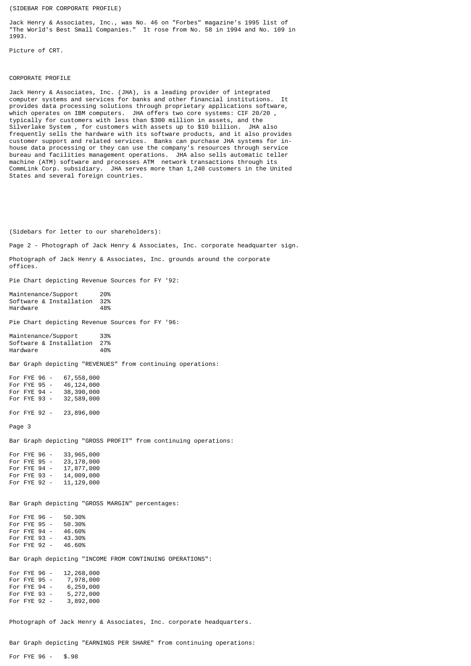(SIDEBAR FOR CORPORATE PROFILE)

Jack Henry & Associates, Inc., was No. 46 on "Forbes" magazine's 1995 list of "The World's Best Small Companies." It rose from No. 58 in 1994 and No. 109 in 1993.

Picture of CRT.

#### CORPORATE PROFILE

Jack Henry & Associates, Inc. (JHA), is a leading provider of integrated computer systems and services for banks and other financial institutions. It provides data processing solutions through proprietary applications software, which operates on IBM computers. JHA offers two core systems: CIF 20/20 , typically for customers with less than \$300 million in assets, and the Silverlake System , for customers with assets up to \$10 billion. JHA also frequently sells the hardware with its software products, and it also provides customer support and related services. Banks can purchase JHA systems for inhouse data processing or they can use the company's resources through service bureau and facilities management operations. machine (ATM) software and processes ATM network transactions through its CommLink Corp. subsidiary. JHA serves more than 1,240 customers in the United States and several foreign countries.

(Sidebars for letter to our shareholders):

Page 2 - Photograph of Jack Henry & Associates, Inc. corporate headquarter sign.

Photograph of Jack Henry & Associates, Inc. grounds around the corporate offices.

Pie Chart depicting Revenue Sources for FY '92:

Maintenance/Support 20%<br>Software & Installation 32% Software & Installation 32% Hardware

Pie Chart depicting Revenue Sources for FY '96:

Maintenance/Support 33% Software & Installation 27% Hardware 40%

Bar Graph depicting "REVENUES" from continuing operations:

For FYE 96 - 67,558,000<br>For FYE 95 - 46,124,000 46, 124, 000<br>38, 390, 000 For FYE  $94$  -For FYE 93 - 32,589,000

For FYE 92 - 23,896,000

Page 3

Bar Graph depicting "GROSS PROFIT" from continuing operations:

For FYE 96 - 33,965,000<br>For FYE 95 - 23,178,000 23,178,000<br>17,877,000 For FYE 94 - 17,877,000<br>For FYE 93 - 14,009,000 For FYE 93 -For FYE 92 - 11,129,000

Bar Graph depicting "GROSS MARGIN" percentages:

For FYE 96 - 50.30% For FYE 95 - 50.30%<br>For FYE 94 - 46.60% For FYE 94 - 46.60%<br>For FYE 93 - 43.30% For  $FYE$  93 -For FYE 92 - 46.60%

Bar Graph depicting "INCOME FROM CONTINUING OPERATIONS":

|  | 12,268,000                                                                   |
|--|------------------------------------------------------------------------------|
|  | 7,978,000                                                                    |
|  | 6,259,000                                                                    |
|  | 5,272,000                                                                    |
|  | 3,892,000                                                                    |
|  | For FYE 96 -<br>For FYE 95 -<br>For FYE 94 -<br>For FYE 93 -<br>For FYE 92 - |

Photograph of Jack Henry & Associates, Inc. corporate headquarters.

Bar Graph depicting "EARNINGS PER SHARE" from continuing operations:

For FYE 96 - \$.98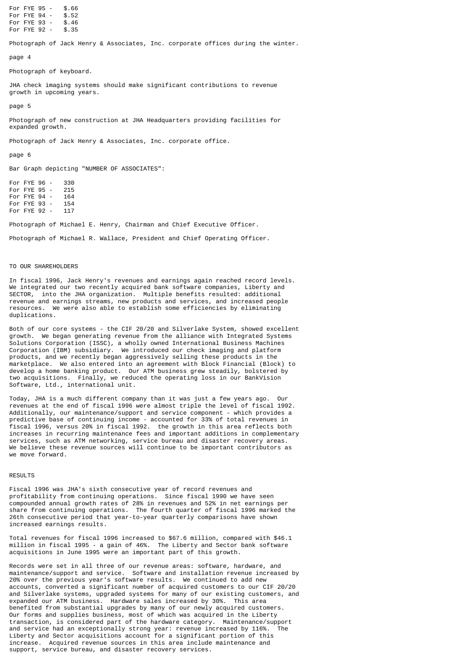For FYE 95 - \$.66<br>For FYE 94 - \$.52 For FYE 94 - \$.52<br>For FYF 93 - \$.46 For FYE 93 - \$.46<br>For FYE 92 - \$.35 For FYE  $92 -$ 

Photograph of Jack Henry & Associates, Inc. corporate offices during the winter.

page 4

Photograph of keyboard.

JHA check imaging systems should make significant contributions to revenue growth in upcoming years.

page 5

Photograph of new construction at JHA Headquarters providing facilities for expanded growth.

Photograph of Jack Henry & Associates, Inc. corporate office.

page 6

Bar Graph depicting "NUMBER OF ASSOCIATES":

For FYE 96 - 330 For FYE 95 - 215 For FYE 94 - 164<br>For FYE 93 - 154 For FYE 93 - 154 For FYE  $92 -$ 

Photograph of Michael E. Henry, Chairman and Chief Executive Officer.

Photograph of Michael R. Wallace, President and Chief Operating Officer.

## TO OUR SHAREHOLDERS

In fiscal 1996, Jack Henry's revenues and earnings again reached record levels. We integrated our two recently acquired bank software companies, Liberty and SECTOR, into the JHA organization. Multiple benefits resulted: additional revenue and earnings streams, new products and services, and increased people resources. We were also able to establish some efficiencies by eliminating duplications.

Both of our core systems - the CIF 20/20 and Silverlake System, showed excellent growth. We began generating revenue from the alliance with Integrated Systems Solutions Corporation (ISSC), a wholly owned International Business Machines Corporation (IBM) subsidiary. We introduced our check imaging and platform products, and we recently began aggressively selling these products in the marketplace. We also entered into an agreement with Block Financial (Block) to develop a home banking product. Our ATM business grew steadily, bolstered by two acquisitions. Finally, we reduced the operating loss in our BankVision Software, Ltd., international unit.

Today, JHA is a much different company than it was just a few years ago. Our revenues at the end of fiscal 1996 were almost triple the level of fiscal 1992. Additionally, our maintenance/support and service component - which provides a predictive base of continuing income - accounted for 33% of total revenues in fiscal 1996, versus 20% in fiscal 1992. the growth in this area reflects both increases in recurring maintenance fees and important additions in complementary services, such as ATM networking, service bureau and disaster recovery areas. We believe these revenue sources will continue to be important contributors as we move forward.

# **RESULTS**

Fiscal 1996 was JHA's sixth consecutive year of record revenues and profitability from continuing operations. Since fiscal 1990 we have seen compounded annual growth rates of 28% in revenues and 52% in net earnings per share from continuing operations. The fourth quarter of fiscal 1996 marked the 26th consecutive period that year-to-year quarterly comparisons have shown increased earnings results.

Total revenues for fiscal 1996 increased to \$67.6 million, compared with \$46.1 million in fiscal 1995 - a gain of 46%. The Liberty and Sector bank software acquisitions in June 1995 were an important part of this growth.

Records were set in all three of our revenue areas: software, hardware, and maintenance/support and service. Software and installation revenue increased by 20% over the previous year's software results. We continued to add new accounts, converted a significant number of acquired customers to our CIF 20/20 and Silverlake systems, upgraded systems for many of our existing customers, and expanded our ATM business. Hardware sales increased by 30%. This area benefited from substantial upgrades by many of our newly acquired customers. Our forms and supplies business, most of which was acquired in the Liberty transaction, is considered part of the hardware category. Maintenance/support and service had an exceptionally strong year: revenue increased by 116%. The Liberty and Sector acquisitions account for a significant portion of this increase. Acquired revenue sources in this area include maintenance and support, service bureau, and disaster recovery services.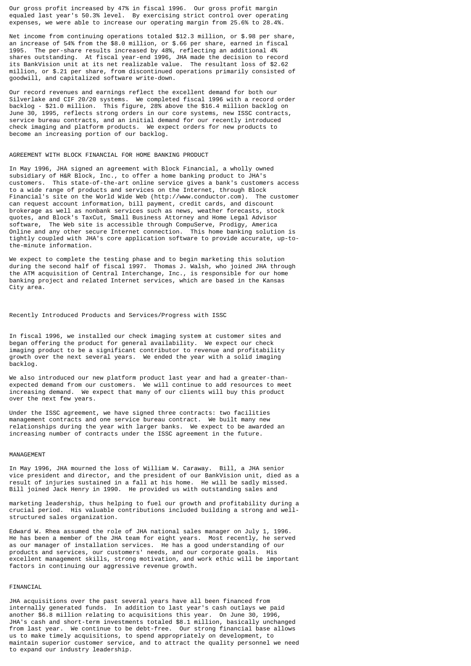Our gross profit increased by 47% in fiscal 1996. Our gross profit margin equaled last year's 50.3% level. By exercising strict control over operating expenses, we were able to increase our operating margin from 25.6% to 28.4%.

Net income from continuing operations totaled \$12.3 million, or \$.98 per share, an increase of 54% from the \$8.0 million, or \$.66 per share, earned in fiscal 1995. The per-share results increased by 48%, reflecting an additional 4% shares outstanding. At fiscal year-end 1996, JHA made the decision to record its BankVision unit at its net realizable value. The resultant loss of \$2.62 million, or \$.21 per share, from discontinued operations primarily consisted of goodwill, and capitalized software write-down.

Our record revenues and earnings reflect the excellent demand for both our Silverlake and CIF 20/20 systems. We completed fiscal 1996 with a record order backlog - \$21.0 million. This figure, 28% above the \$16.4 million backlog on June 30, 1995, reflects strong orders in our core systems, new ISSC contracts, service bureau contracts, and an initial demand for our recently introduced check imaging and platform products. We expect orders for new products to become an increasing portion of our backlog.

#### AGREEMENT WITH BLOCK FINANCIAL FOR HOME BANKING PRODUCT

In May 1996, JHA signed an agreement with Block Financial, a wholly owned subsidiary of H&R Block, Inc., to offer a home banking product to JHA's customers. This state-of-the-art online service gives a bank's customers access to a wide range of products and services on the Internet, through Block Financial's site on the World Wide Web (http://www.conductor.com). The customer can request account information, bill payment, credit cards, and discount brokerage as well as nonbank services such as news, weather forecasts, stock quotes, and Block's TaxCut, Small Business Attorney and Home Legal Advisor software, The Web site is accessible through CompuServe, Prodigy, America Online and any other secure Internet connection. This home banking solution is tightly coupled with JHA's core application software to provide accurate, up-tothe-minute information.

We expect to complete the testing phase and to begin marketing this solution during the second half of fiscal 1997. Thomas J. Walsh, who joined JHA through the ATM acquisition of Central Interchange, Inc., is responsible for our home banking project and related Internet services, which are based in the Kansas City area.

# Recently Introduced Products and Services/Progress with ISSC

In fiscal 1996, we installed our check imaging system at customer sites and began offering the product for general availability. We expect our check imaging product to be a significant contributor to revenue and profitability growth over the next several years. We ended the year with a solid imaging backlog.

We also introduced our new platform product last year and had a greater-thanexpected demand from our customers. We will continue to add resources to meet increasing demand. We expect that many of our clients will buy this product over the next few years.

Under the ISSC agreement, we have signed three contracts: two facilities management contracts and one service bureau contract. We built many new relationships during the year with larger banks. We expect to be awarded an increasing number of contracts under the ISSC agreement in the future.

#### MANAGEMENT

In May 1996, JHA mourned the loss of William W. Caraway. Bill, a JHA senior vice president and director, and the president of our BankVision unit, died as a result of injuries sustained in a fall at his home. He will be sadly missed. Bill joined Jack Henry in 1990. He provided us with outstanding sales and

marketing leadership, thus helping to fuel our growth and profitability during a crucial period. His valuable contributions included building a strong and wellstructured sales organization.

Edward W. Rhea assumed the role of JHA national sales manager on July 1, 1996. He has been a member of the JHA team for eight years. Most recently, he served as our manager of installation services. He has a good understanding of our products and services, our customers' needs, and our corporate goals. His excellent management skills, strong motivation, and work ethic will be important factors in continuing our aggressive revenue growth.

# FINANCIAL

JHA acquisitions over the past several years have all been financed from internally generated funds. In addition to last year's cash outlays we paid another \$6.8 million relating to acquisitions this year. On June 30, 1996, JHA's cash and short-term investments totaled \$8.1 million, basically unchanged from last year. We continue to be debt-free. Our strong financial base allows us to make timely acquisitions, to spend appropriately on development, to maintain superior customer service, and to attract the quality personnel we need to expand our industry leadership.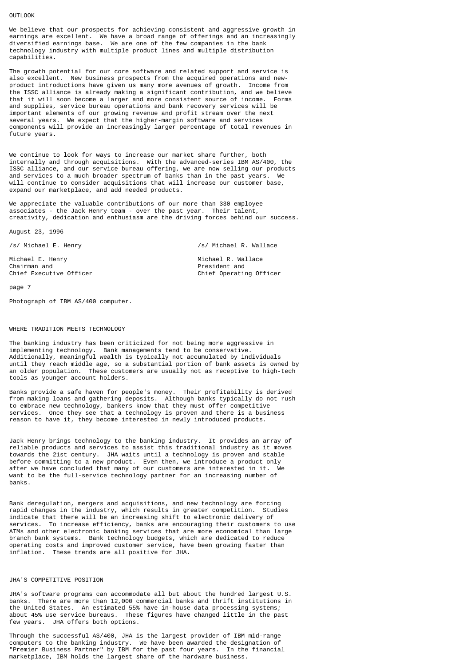## OUTLOOK

We believe that our prospects for achieving consistent and aggressive growth in earnings are excellent. We have a broad range of offerings and an increasingly diversified earnings base. We are one of the few companies in the bank technology industry with multiple product lines and multiple distribution capabilities.

The growth potential for our core software and related support and service is also excellent. New business prospects from the acquired operations and newproduct introductions have given us many more avenues of growth. Income from the ISSC alliance is already making a significant contribution, and we believe that it will soon become a larger and more consistent source of income. Forms and supplies, service bureau operations and bank recovery services will be important elements of our growing revenue and profit stream over the next several years. We expect that the higher-margin software and services components will provide an increasingly larger percentage of total revenues in future years.

We continue to look for ways to increase our market share further, both internally and through acquisitions. With the advanced-series IBM AS/400, the ISSC alliance, and our service bureau offering, we are now selling our products and services to a much broader spectrum of banks than in the past years. We will continue to consider acquisitions that will increase our customer base, expand our marketplace, and add needed products.

We appreciate the valuable contributions of our more than 330 employee associates - the Jack Henry team - over the past year. Their talent, creativity, dedication and enthusiasm are the driving forces behind our success.

August 23, 1996

/s/ Michael E. Henry /s/ Michael R. Wallace

Chief Operating Officer

Michael E. Henry Michael R. Wallace Chairman and Chief Executive Officer (Chief Chief Chief Chief Chief Chief Chief Chief Chief Chief Chief Chief Chief Chief Chief Chief Chief Chief Chief Chief Chief Chief Chief Chief Chief Chief Chief Chief Chief Chief Chie

page 7

Photograph of IBM AS/400 computer.

## WHERE TRADITION MEETS TECHNOLOGY

The banking industry has been criticized for not being more aggressive in implementing technology. Bank managements tend to be conservative. Additionally, meaningful wealth is typically not accumulated by individuals until they reach middle age, so a substantial portion of bank assets is owned by an older population. These customers are usually not as receptive to high-tech tools as younger account holders.

Banks provide a safe haven for people's money. Their profitability is derived from making loans and gathering deposits. Although banks typically do not rush to embrace new technology, bankers know that they must offer competitive services. Once they see that a technology is proven and there is a business reason to have it, they become interested in newly introduced products.

Jack Henry brings technology to the banking industry. It provides an array of reliable products and services to assist this traditional industry as it moves towards the 21st century. JHA waits until a technology is proven and stable before committing to a new product. Even then, we introduce a product only after we have concluded that many of our customers are interested in it. We want to be the full-service technology partner for an increasing number of banks.

Bank deregulation, mergers and acquisitions, and new technology are forcing rapid changes in the industry, which results in greater competition. Studies indicate that there will be an increasing shift to electronic delivery of services. To increase efficiency, banks are encouraging their customers to use ATMs and other electronic banking services that are more economical than large branch bank systems. Bank technology budgets, which are dedicated to reduce operating costs and improved customer service, have been growing faster than inflation. These trends are all positive for JHA.

## JHA'S COMPETITIVE POSITION

JHA's software programs can accommodate all but about the hundred largest U.S. banks. There are more than 12,000 commercial banks and thrift institutions in the United States. An estimated 55% have in-house data processing systems; about 45% use service bureaus. These figures have changed little in the past few years. JHA offers both options.

Through the successful AS/400, JHA is the largest provider of IBM mid-range computers to the banking industry. We have been awarded the designation of "Premier Business Partner" by IBM for the past four years. In the financial marketplace, IBM holds the largest share of the hardware business.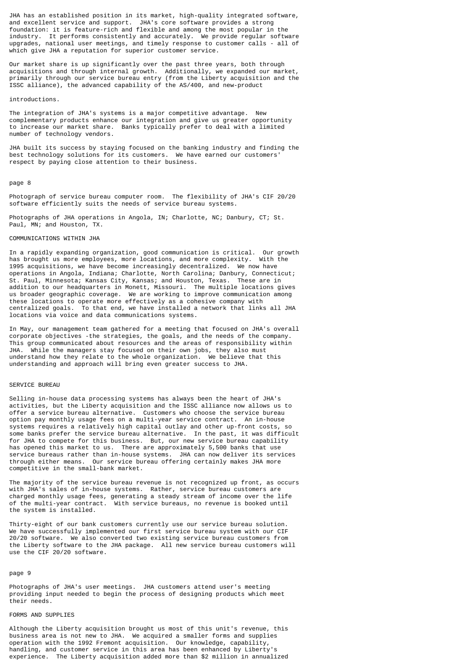JHA has an established position in its market, high-quality integrated software, and excellent service and support. JHA's core software provides a strong foundation: it is feature-rich and flexible and among the most popular in the industry. It performs consistently and accurately. We provide regular software upgrades, national user meetings, and timely response to customer calls - all of which give JHA a reputation for superior customer service.

Our market share is up significantly over the past three years, both through acquisitions and through internal growth. Additionally, we expanded our market, primarily through our service bureau entry (from the Liberty acquisition and the ISSC alliance), the advanced capability of the AS/400, and new-product

## introductions.

The integration of JHA's systems is a major competitive advantage. New complementary products enhance our integration and give us greater opportunity to increase our market share. Banks typically prefer to deal with a limited number of technology vendors.

JHA built its success by staying focused on the banking industry and finding the best technology solutions for its customers. We have earned our customers' respect by paying close attention to their business.

#### page 8

Photograph of service bureau computer room. The flexibility of JHA's CIF 20/20 software efficiently suits the needs of service bureau systems.

Photographs of JHA operations in Angola, IN; Charlotte, NC; Danbury, CT; St. Paul, MN; and Houston, TX.

# COMMUNICATIONS WITHIN JHA

In a rapidly expanding organization, good communication is critical. Our growth has brought us more employees, more locations, and more complexity. With the 1995 acquisitions, we have become increasingly decentralized. We now have operations in Angola, Indiana; Charlotte, North Carolina; Danbury, Connecticut; St. Paul, Minnesota; Kansas City, Kansas; and Houston, Texas. These are in addition to our headquarters in Monett, Missouri. The multiple locations gives us broader geographic coverage. We are working to improve communication among these locations to operate more effectively as a cohesive company with centralized goals. To that end, we have installed a network that links all JHA locations via voice and data communications systems.

In May, our management team gathered for a meeting that focused on JHA's overall corporate objectives -the strategies, the goals, and the needs of the company. This group communicated about resources and the areas of responsibility within JHA. While the managers stay focused on their own jobs, they also must understand how they relate to the whole organization. We believe that this understanding and approach will bring even greater success to JHA.

# SERVICE BUREAU

Selling in-house data processing systems has always been the heart of JHA's activities, but the Liberty acquisition and the ISSC alliance now allows us to offer a service bureau alternative. Customers who choose the service bureau option pay monthly usage fees on a multi-year service contract. An in-house systems requires a relatively high capital outlay and other up-front costs, so some banks prefer the service bureau alternative. In the past, it was difficult for JHA to compete for this business. But, our new service bureau capability has opened this market to us. There are approximately 5,500 banks that use service bureaus rather than in-house systems. JHA can now deliver its services through either means. Our service bureau offering certainly makes JHA more competitive in the small-bank market.

The majority of the service bureau revenue is not recognized up front, as occurs with JHA's sales of in-house systems. Rather, service bureau customers are charged monthly usage fees, generating a steady stream of income over the life of the multi-year contract. With service bureaus, no revenue is booked until the system is installed.

Thirty-eight of our bank customers currently use our service bureau solution. We have successfully implemented our first service bureau system with our CIF 20/20 software. We also converted two existing service bureau customers from the Liberty software to the JHA package. All new service bureau customers will use the CIF 20/20 software.

# page 9

Photographs of JHA's user meetings. JHA customers attend user's meeting providing input needed to begin the process of designing products which meet their needs.

## FORMS AND SUPPLIES

Although the Liberty acquisition brought us most of this unit's revenue, this business area is not new to JHA. We acquired a smaller forms and supplies operation with the 1992 Fremont acquisition. Our knowledge, capability, handling, and customer service in this area has been enhanced by Liberty's experience. The Liberty acquisition added more than \$2 million in annualized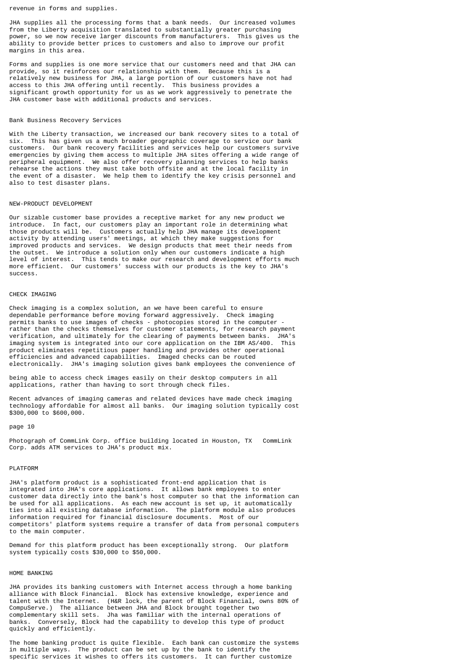revenue in forms and supplies.

JHA supplies all the processing forms that a bank needs. Our increased volumes from the Liberty acquisition translated to substantially greater purchasing power, so we now receive larger discounts from manufacturers. This gives us the ability to provide better prices to customers and also to improve our profit margins in this area.

Forms and supplies is one more service that our customers need and that JHA can provide, so it reinforces our relationship with them. Because this is a relatively new business for JHA, a large portion of our customers have not had access to this JHA offering until recently. This business provides a significant growth opportunity for us as we work aggressively to penetrate the JHA customer base with additional products and services.

# Bank Business Recovery Services

With the Liberty transaction, we increased our bank recovery sites to a total of six. This has given us a much broader geographic coverage to service our bank customers. Our bank recovery facilities and services help our customers survive emergencies by giving them access to multiple JHA sites offering a wide range of peripheral equipment. We also offer recovery planning services to help banks rehearse the actions they must take both offsite and at the local facility in the event of a disaster. We help them to identify the key crisis personnel and also to test disaster plans.

# NEW-PRODUCT DEVELOPMENT

Our sizable customer base provides a receptive market for any new product we introduce. In fact, our customers play an important role in determining what those products will be. Customers actually help JHA manage its development activity by attending users' meetings, at which they make suggestions for improved products and services. We design products that meet their needs from the outset. We introduce a solution only when our customers indicate a high level of interest. This tends to make our research and development efforts much more efficient. Our customers' success with our products is the key to JHA's success.

#### CHECK IMAGING

Check imaging is a complex solution, an we have been careful to ensure dependable performance before moving forward aggressively. Check imaging permits banks to use images of checks - photocopies stored in the computer rather than the checks themselves for customer statements, for research payment verification, and ultimately for the clearing of payments between banks. JHA's imaging system is integrated into our core application on the IBM AS/400. This product eliminates repetitious paper handling and provides other operational efficiencies and advanced capabilities. Imaged checks can be routed electronically. JHA's imaging solution gives bank employees the convenience of

being able to access check images easily on their desktop computers in all applications, rather than having to sort through check files.

Recent advances of imaging cameras and related devices have made check imaging technology affordable for almost all banks. Our imaging solution typically cost \$300,000 to \$600,000.

#### page 10

Photograph of CommLink Corp. office building located in Houston, TX CommLink Corp. adds ATM services to JHA's product mix.

# PLATFORM

JHA's platform product is a sophisticated front-end application that is integrated into JHA's core applications. It allows bank employees to enter customer data directly into the bank's host computer so that the information can be used for all applications. As each new account is set up, it automatically ties into all existing database information. The platform module also produces information required for financial disclosure documents. Most of our competitors' platform systems require a transfer of data from personal computers to the main computer.

Demand for this platform product has been exceptionally strong. Our platform system typically costs \$30,000 to \$50,000.

# HOME BANKING

JHA provides its banking customers with Internet access through a home banking alliance with Block Financial. Block has extensive knowledge, experience and talent with the Internet. (H&R lock, the parent of Block Financial, owns 80% of CompuServe.) The alliance between JHA and Block brought together two complementary skill sets. Jha was familiar with the internal operations of banks. Conversely, Block had the capability to develop this type of product quickly and efficiently.

The home banking product is quite flexible. Each bank can customize the systems in multiple ways. The product can be set up by the bank to identify the specific services it wishes to offers its customers. It can further customize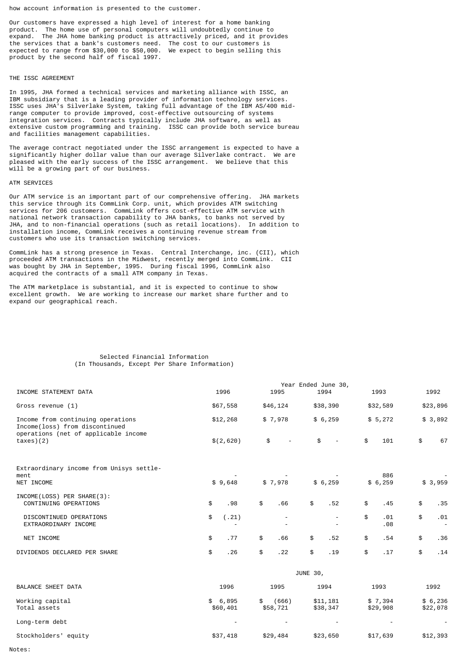how account information is presented to the customer.

Our customers have expressed a high level of interest for a home banking product. The home use of personal computers will undoubtedly continue to expand. The JHA home banking product is attractively priced, and it provides the services that a bank's customers need. The cost to our customers is expected to range from \$30,000 to \$50,000. We expect to begin selling this product by the second half of fiscal 1997.

# THE ISSC AGREEMENT

In 1995, JHA formed a technical services and marketing alliance with ISSC, an IBM subsidiary that is a leading provider of information technology services. ISSC uses JHA's Silverlake System, taking full advantage of the IBM AS/400 midrange computer to provide improved, cost-effective outsourcing of systems integration services. Contracts typically include JHA software, as well as extensive custom programming and training. ISSC can provide both service bureau and facilities management capabilities.

The average contract negotiated under the ISSC arrangement is expected to have a significantly higher dollar value than our average Silverlake contract. We are pleased with the early success of the ISSC arrangement. We believe that this will be a growing part of our business.

## ATM SERVICES

Our ATM service is an important part of our comprehensive offering. JHA markets this service through its CommLink Corp. unit, which provides ATM switching services for 206 customers. CommLink offers cost-effective ATM service with national network transaction capability to JHA banks, to banks not served by JHA, and to non-financial operations (such as retail locations). In addition to installation income, CommLink receives a continuing revenue stream from customers who use its transaction switching services.

CommLink has a strong presence in Texas. Central Interchange, inc. (CII), which proceeded ATM transactions in the Midwest, recently merged into CommLink. CII was bought by JHA in September, 1995. During fiscal 1996, CommLink also acquired the contracts of a small ATM company in Texas.

The ATM marketplace is substantial, and it is expected to continue to show excellent growth. We are working to increase our market share further and to expand our geographical reach.

## Selected Financial Information (In Thousands, Except Per Share Information)

|                                                                                                             |                     |                          | Year Ended June 30,  |                     |                     |
|-------------------------------------------------------------------------------------------------------------|---------------------|--------------------------|----------------------|---------------------|---------------------|
| INCOME STATEMENT DATA                                                                                       | 1996                | 1995                     | 1994                 | 1993                | 1992                |
| Gross revenue (1)                                                                                           | \$67,558            | \$46,124                 | \$38,390             | \$32,589            | \$23,896            |
| Income from continuing operations<br>Income(loss) from discontinued<br>operations (net of applicable income | \$12,268            | \$7,978                  | \$6,259              | \$5,272             | \$3,892             |
| taxes)(2)                                                                                                   | \$(2,620)           | \$                       | \$                   | \$<br>101           | \$<br>67            |
| Extraordinary income from Unisys settle-<br>ment<br>NET INCOME                                              | \$9,648             | \$7,978                  | \$6,259              | 886<br>\$6,259      | \$3,959             |
|                                                                                                             |                     |                          |                      |                     |                     |
| INCOME(LOSS) PER SHARE(3):<br>CONTINUING OPERATIONS                                                         | \$<br>.98           | \$<br>.66                | \$<br>.52            | \$<br>.45           | \$<br>.35           |
| DISCONTINUED OPERATIONS<br>EXTRAORDINARY INCOME                                                             | \$<br>(.21)         | $\overline{\phantom{a}}$ |                      | \$<br>.01<br>.08    | \$<br>.01           |
| NET INCOME                                                                                                  | \$<br>.77           | \$<br>.66                | \$<br>.52            | \$<br>.54           | \$<br>.36           |
| DIVIDENDS DECLARED PER SHARE                                                                                | \$<br>.26           | \$<br>.22                | \$<br>.19            | \$<br>.17           | \$<br>.14           |
|                                                                                                             |                     |                          | JUNE 30,             |                     |                     |
| BALANCE SHEET DATA                                                                                          | 1996                | 1995                     | 1994                 | 1993                | 1992                |
| Working capital<br>Total assets                                                                             | \$6,895<br>\$60,401 | (666)<br>\$<br>\$58,721  | \$11,181<br>\$38,347 | \$7,394<br>\$29,908 | \$6,236<br>\$22,078 |
| Long-term debt                                                                                              |                     |                          |                      |                     |                     |
| Stockholders' equity                                                                                        | \$37,418            | \$29,484                 | \$23,650             | \$17,639            | \$12,393            |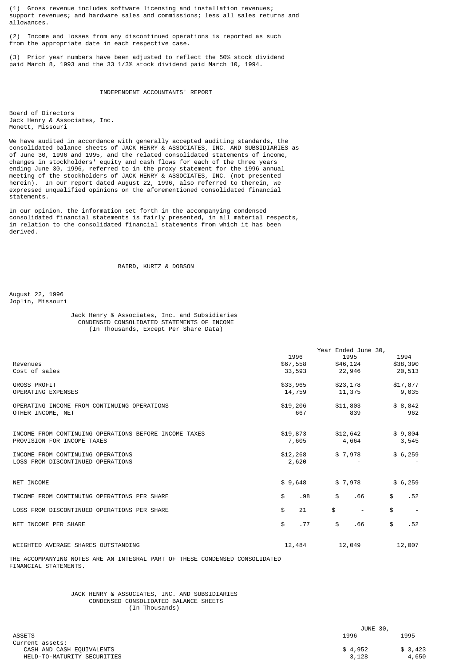(1) Gross revenue includes software licensing and installation revenues; support revenues; and hardware sales and commissions; less all sales returns and allowances.

(2) Income and losses from any discontinued operations is reported as such from the appropriate date in each respective case.

(3) Prior year numbers have been adjusted to reflect the 50% stock dividend paid March 8, 1993 and the 33 1/3% stock dividend paid March 10, 1994.

# INDEPENDENT ACCOUNTANTS' REPORT

Board of Directors Jack Henry & Associates, Inc. Monett, Missouri

We have audited in accordance with generally accepted auditing standards, the consolidated balance sheets of JACK HENRY & ASSOCIATES, INC. AND SUBSIDIARIES as of June 30, 1996 and 1995, and the related consolidated statements of income, changes in stockholders' equity and cash flows for each of the three years ending June 30, 1996, referred to in the proxy statement for the 1996 annual meeting of the stockholders of JACK HENRY & ASSOCIATES, INC. (not presented herein). In our report dated August 22, 1996, also referred to therein, we expressed unqualified opinions on the aforementioned consolidated financial statements.

In our opinion, the information set forth in the accompanying condensed consolidated financial statements is fairly presented, in all material respects, in relation to the consolidated financial statements from which it has been derived.

# BAIRD, KURTZ & DOBSON

August 22, 1996 Joplin, Missouri

# Jack Henry & Associates, Inc. and Subsidiaries CONDENSED CONSOLIDATED STATEMENTS OF INCOME (In Thousands, Except Per Share Data)

|                                                       |          |     | Year Ended June 30,            |           |
|-------------------------------------------------------|----------|-----|--------------------------------|-----------|
|                                                       | 1996     |     | 1995                           | 1994      |
| Revenues                                              | \$67,558 |     | \$46,124                       | \$38,390  |
| Cost of sales                                         | 33,593   |     | 22,946                         | 20,513    |
| <b>GROSS PROFIT</b>                                   | \$33,965 |     | \$23,178                       | \$17,877  |
| OPERATING EXPENSES                                    | 14,759   |     | 11,375                         | 9,035     |
| OPERATING INCOME FROM CONTINUING OPERATIONS           | \$19,206 |     | \$11,803                       | \$8,842   |
| OTHER INCOME, NET                                     | 667      |     | 839                            | 962       |
|                                                       |          |     |                                |           |
| INCOME FROM CONTINUING OPERATIONS BEFORE INCOME TAXES | \$19,873 |     | \$12,642                       | \$9,804   |
| PROVISION FOR INCOME TAXES                            | 7,605    |     | 4,664                          | 3,545     |
| INCOME FROM CONTINUING OPERATIONS                     | \$12,268 |     | \$7,978                        | \$6,259   |
| LOSS FROM DISCONTINUED OPERATIONS                     | 2,620    |     |                                |           |
|                                                       |          |     |                                |           |
| NET INCOME                                            | \$9,648  |     | \$7,978                        | \$6,259   |
| INCOME FROM CONTINUING OPERATIONS PER SHARE           | \$       | .98 | \$<br>.66                      | \$<br>.52 |
| LOSS FROM DISCONTINUED OPERATIONS PER SHARE           | \$       | 21  | \$<br>$\overline{\phantom{a}}$ | \$        |
| NET INCOME PER SHARE                                  | \$       | .77 | \$<br>.66                      | \$<br>.52 |
|                                                       |          |     |                                |           |
| WEIGHTED AVERAGE SHARES OUTSTANDING                   | 12,484   |     | 12,049                         | 12,007    |
|                                                       |          |     |                                |           |

THE ACCOMPANYING NOTES ARE AN INTEGRAL PART OF THESE CONDENSED CONSOLIDATED FINANCIAL STATEMENTS.

> JACK HENRY & ASSOCIATES, INC. AND SUBSIDIARIES CONDENSED CONSOLIDATED BALANCE SHEETS (In Thousands)

|                             | JUNE 30, |         |
|-----------------------------|----------|---------|
| <b>ASSETS</b>               | 1996     | 1995    |
| Current assets:             |          |         |
| CASH AND CASH EQUIVALENTS   | \$4,952  | \$3,423 |
| HELD-TO-MATURITY SECURITIES | 3.128    | 4,650   |
|                             |          |         |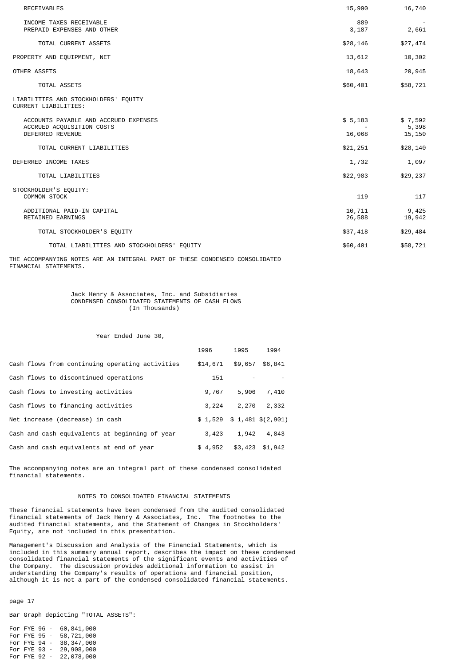| <b>RECEIVABLES</b>                                                 | 15,990           | 16,740           |
|--------------------------------------------------------------------|------------------|------------------|
| INCOME TAXES RECEIVABLE<br>PREPAID EXPENSES AND OTHER              | 889<br>3,187     | 2,661            |
| TOTAL CURRENT ASSETS                                               | \$28,146         | \$27,474         |
| PROPERTY AND EQUIPMENT, NET                                        | 13,612           | 10,302           |
| OTHER ASSETS                                                       | 18,643           | 20,945           |
| TOTAL ASSETS                                                       | \$60,401         | \$58,721         |
| LIABILITIES AND STOCKHOLDERS' EQUITY<br>CURRENT LIABILITIES:       |                  |                  |
| ACCOUNTS PAYABLE AND ACCRUED EXPENSES<br>ACCRUED ACQUISITION COSTS | \$5,183          | \$7,592<br>5,398 |
| <b>DEFERRED REVENUE</b>                                            | 16,068           | 15,150           |
| TOTAL CURRENT LIABILITIES                                          | \$21,251         | \$28,140         |
| DEFERRED INCOME TAXES                                              | 1,732            | 1,097            |
| TOTAL LIABILITIES                                                  | \$22,983         | \$29,237         |
| STOCKHOLDER'S EQUITY:<br><b>COMMON STOCK</b>                       | 119              | 117              |
| ADDITIONAL PAID-IN CAPITAL<br>RETAINED EARNINGS                    | 10,711<br>26,588 | 9,425<br>19,942  |
| TOTAL STOCKHOLDER'S EQUITY                                         | \$37,418         | \$29,484         |
| TOTAL LIABILITIES AND STOCKHOLDERS' EQUITY                         | \$60,401         | \$58,721         |

THE ACCOMPANYING NOTES ARE AN INTEGRAL PART OF THESE CONDENSED CONSOLIDATED FINANCIAL STATEMENTS.

## Jack Henry & Associates, Inc. and Subsidiaries CONDENSED CONSOLIDATED STATEMENTS OF CASH FLOWS (In Thousands)

# Year Ended June 30,

|                                                 | 1996     | 1995    | 1994                         |
|-------------------------------------------------|----------|---------|------------------------------|
| Cash flows from continuing operating activities | \$14,671 | \$9,657 | \$6,841                      |
| Cash flows to discontinued operations           | 151      |         |                              |
| Cash flows to investing activities              | 9,767    | 5,906   | 7,410                        |
| Cash flows to financing activities              | 3,224    | 2,270   | 2,332                        |
| Net increase (decrease) in cash                 |          |         | $$1,529$ $$1,481$ $$(2,901)$ |
| Cash and cash equivalents at beginning of year  | 3,423    | 1,942   | 4,843                        |
| Cash and cash equivalents at end of year        | \$4.952  | \$3,423 | \$1,942                      |

The accompanying notes are an integral part of these condensed consolidated financial statements.

# NOTES TO CONSOLIDATED FINANCIAL STATEMENTS

These financial statements have been condensed from the audited consolidated financial statements of Jack Henry & Associates, Inc. The footnotes to the audited financial statements, and the Statement of Changes in Stockholders' Equity, are not included in this presentation.

Management's Discussion and Analysis of the Financial Statements, which is included in this summary annual report, describes the impact on these condensed consolidated financial statements of the significant events and activities of the Company. The discussion provides additional information to assist in understanding the Company's results of operations and financial position, although it is not a part of the condensed consolidated financial statements.

page 17

Bar Graph depicting "TOTAL ASSETS":

For FYE 96 - 60,841,000 For FYE 95 - 58,721,000 For FYE 94 - 38,347,000 For FYE 93 - 29,908,000 For FYE 92 - 22,078,000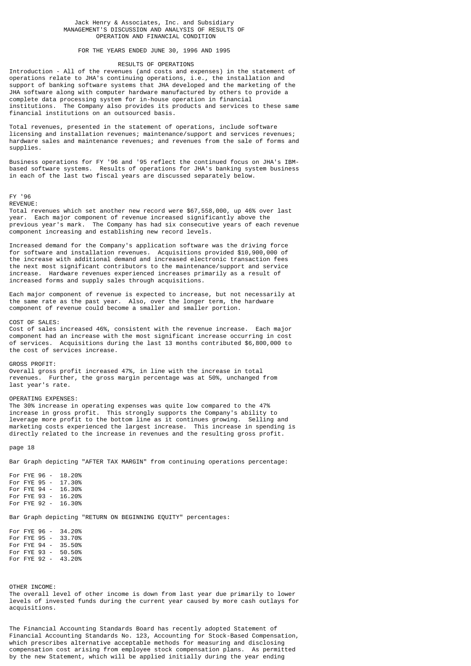## Jack Henry & Associates, Inc. and Subsidiary MANAGEMENT'S DISCUSSION AND ANALYSIS OF RESULTS OF OPERATION AND FINANCIAL CONDITION

## FOR THE YEARS ENDED JUNE 30, 1996 AND 1995

# RESULTS OF OPERATIONS

Introduction - All of the revenues (and costs and expenses) in the statement of operations relate to JHA's continuing operations, i.e., the installation and support of banking software systems that JHA developed and the marketing of the JHA software along with computer hardware manufactured by others to provide a complete data processing system for in-house operation in financial The Company also provides its products and services to these same financial institutions on an outsourced basis.

Total revenues, presented in the statement of operations, include software licensing and installation revenues; maintenance/support and services revenues; hardware sales and maintenance revenues; and revenues from the sale of forms and supplies.

Business operations for FY '96 and '95 reflect the continued focus on JHA's IBMbased software systems. Results of operations for JHA's banking system business in each of the last two fiscal years are discussed separately below.

FY '96

REVENUE:

Total revenues which set another new record were \$67,558,000, up 46% over last year. Each major component of revenue increased significantly above the previous year's mark. The Company has had six consecutive years of each revenue component increasing and establishing new record levels.

Increased demand for the Company's application software was the driving force for software and installation revenues. Acquisitions provided \$10,900,000 of the increase with additional demand and increased electronic transaction fees the next most significant contributors to the maintenance/support and service increase. Hardware revenues experienced increases primarily as a result of increased forms and supply sales through acquisitions.

Each major component of revenue is expected to increase, but not necessarily at the same rate as the past year. Also, over the longer term, the hardware component of revenue could become a smaller and smaller portion.

COST OF SALES:

Cost of sales increased 46%, consistent with the revenue increase. Each major component had an increase with the most significant increase occurring in cost of services. Acquisitions during the last 13 months contributed \$6,800,000 to the cost of services increase.

GROSS PROFIT: Overall gross profit increased 47%, in line with the increase in total revenues. Further, the gross margin percentage was at 50%, unchanged from last year's rate.

#### OPERATING EXPENSES:

The 30% increase in operating expenses was quite low compared to the 47% increase in gross profit. This strongly supports the Company's ability to leverage more profit to the bottom line as it continues growing. Selling and marketing costs experienced the largest increase. This increase in spending is directly related to the increase in revenues and the resulting gross profit.

page 18

Bar Graph depicting "AFTER TAX MARGIN" from continuing operations percentage:

For FYE 96 - 18.20% For FYE 95 - 17.30% For FYE 94 - 16.30% For FYE 93 - 16.20% For FYE 92 - 16.30%

Bar Graph depicting "RETURN ON BEGINNING EQUITY" percentages:

For FYE 96 - 34.20% For FYE 95 - 33.70% For FYE 94 - 35.50% For FYE 93 - 50.50% For FYE 92 - 43.20%

OTHER INCOME:

The overall level of other income is down from last year due primarily to lower levels of invested funds during the current year caused by more cash outlays for acquisitions.

The Financial Accounting Standards Board has recently adopted Statement of Financial Accounting Standards No. 123, Accounting for Stock-Based Compensation, which prescribes alternative acceptable methods for measuring and disclosing compensation cost arising from employee stock compensation plans. As permitted by the new Statement, which will be applied initially during the year ending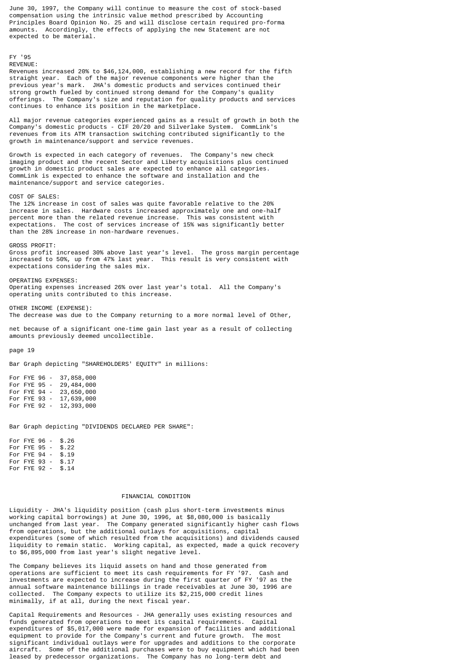June 30, 1997, the Company will continue to measure the cost of stock-based compensation using the intrinsic value method prescribed by Accounting Principles Board Opinion No. 25 and will disclose certain required pro-forma amounts. Accordingly, the effects of applying the new Statement are not expected to be material.

# FY '95 REVENUE:

Revenues increased 20% to \$46,124,000, establishing a new record for the fifth straight year. Each of the major revenue components were higher than the previous year's mark. JHA's domestic products and services continued their strong growth fueled by continued strong demand for the Company's quality offerings. The Company's size and reputation for quality products and services continues to enhance its position in the marketplace.

All major revenue categories experienced gains as a result of growth in both the Company's domestic products - CIF 20/20 and Silverlake System. CommLink's revenues from its ATM transaction switching contributed significantly to the growth in maintenance/support and service revenues.

Growth is expected in each category of revenues. The Company's new check imaging product and the recent Sector and Liberty acquisitions plus continued growth in domestic product sales are expected to enhance all categories. CommLink is expected to enhance the software and installation and the maintenance/support and service categories.

COST OF SALES:

The 12% increase in cost of sales was quite favorable relative to the 20% increase in sales. Hardware costs increased approximately one and one-half percent more than the related revenue increase. This was consistent with expectations. The cost of services increase of 15% was significantly better than the 28% increase in non-hardware revenues.

GROSS PROFIT: Gross profit increased 30% above last year's level. The gross margin percentage increased to 50%, up from 47% last year. This result is very consistent with expectations considering the sales mix.

OPERATING EXPENSES: Operating expenses increased 26% over last year's total. All the Company's operating units contributed to this increase.

OTHER INCOME (EXPENSE): The decrease was due to the Company returning to a more normal level of Other,

net because of a significant one-time gain last year as a result of collecting amounts previously deemed uncollectible.

# page 19

Bar Graph depicting "SHAREHOLDERS' EQUITY" in millions:

For FYE 96 - 37,858,000<br>For FYE 95 - 29,484,000 For FYE 95 - 29,484,000<br>For FYE 94 - 23,650,000  $23,650,000$ For FYE 93 - 17,639,000 For FYE 92 - 12,393,000

Bar Graph depicting "DIVIDENDS DECLARED PER SHARE":

| For FYE 96 - |  | \$.26 |
|--------------|--|-------|
| For FYE 95 - |  | \$.22 |
| For FYE 94 - |  | \$.19 |
| For FYE 93 - |  | \$.17 |
| For FYE 92 - |  | \$.14 |
|              |  |       |

## FINANCIAL CONDITION

Liquidity - JHA's liquidity position (cash plus short-term investments minus working capital borrowings) at June 30, 1996, at \$8,080,000 is basically unchanged from last year. The Company generated significantly higher cash flows from operations, but the additional outlays for acquisitions, capital expenditures (some of which resulted from the acquisitions) and dividends caused liquidity to remain static. Working capital, as expected, made a quick recovery to \$6,895,000 from last year's slight negative level.

The Company believes its liquid assets on hand and those generated from operations are sufficient to meet its cash requirements for FY '97. Cash and investments are expected to increase during the first quarter of FY '97 as the annual software maintenance billings in trade receivables at June 30, 1996 are collected. The Company expects to utilize its \$2,215,000 credit lines minimally, if at all, during the next fiscal year.

Capital Requirements and Resources - JHA generally uses existing resources and funds generated from operations to meet its capital requirements. Capital expenditures of \$5,017,000 were made for expansion of facilities and additional<br>equipment to provide for the Company's current and future growth. The most equipment to provide for the Company's current and future growth. significant individual outlays were for upgrades and additions to the corporate aircraft. Some of the additional purchases were to buy equipment which had been leased by predecessor organizations. The Company has no long-term debt and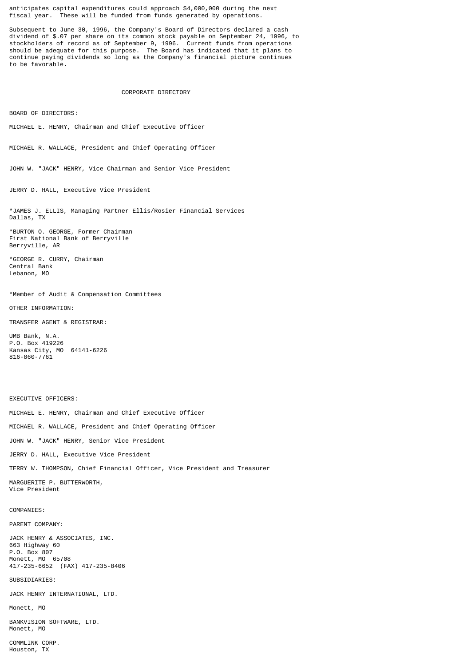anticipates capital expenditures could approach \$4,000,000 during the next fiscal year. These will be funded from funds generated by operations.

Subsequent to June 30, 1996, the Company's Board of Directors declared a cash dividend of \$.07 per share on its common stock payable on September 24, 1996, to stockholders of record as of September 9, 1996. Current funds from operations should be adequate for this purpose. The Board has indicated that it plans to continue paying dividends so long as the Company's financial picture continues to be favorable.

# CORPORATE DIRECTORY

BOARD OF DIRECTORS:

MICHAEL E. HENRY, Chairman and Chief Executive Officer

MICHAEL R. WALLACE, President and Chief Operating Officer

JOHN W. "JACK" HENRY, Vice Chairman and Senior Vice President

JERRY D. HALL, Executive Vice President

\*JAMES J. ELLIS, Managing Partner Ellis/Rosier Financial Services Dallas, TX

\*BURTON O. GEORGE, Former Chairman First National Bank of Berryville Berryville, AR

\*GEORGE R. CURRY, Chairman Central Bank Lebanon, MO

\*Member of Audit & Compensation Committees

OTHER INFORMATION:

TRANSFER AGENT & REGISTRAR:

UMB Bank, N.A. P.O. Box 419226 Kansas City, MO 64141-6226 816-860-7761

EXECUTIVE OFFICERS:

MICHAEL E. HENRY, Chairman and Chief Executive Officer

MICHAEL R. WALLACE, President and Chief Operating Officer

JOHN W. "JACK" HENRY, Senior Vice President

JERRY D. HALL, Executive Vice President

TERRY W. THOMPSON, Chief Financial Officer, Vice President and Treasurer

MARGUERITE P. BUTTERWORTH, Vice President

## COMPANIES:

PARENT COMPANY:

JACK HENRY & ASSOCIATES, INC. 663 Highway 60 P.O. Box 807 Monett, MO 65708 417-235-6652 (FAX) 417-235-8406

# SUBSIDIARIES:

JACK HENRY INTERNATIONAL, LTD.

Monett, MO

BANKVISION SOFTWARE, LTD. Monett, MO

COMMLINK CORP. Houston, TX